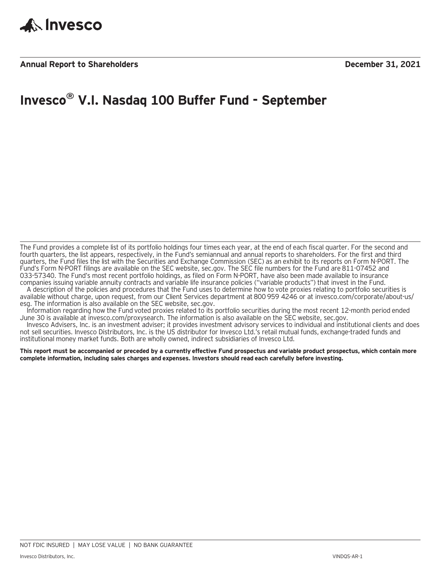

## **Invesco® V.I. Nasdaq 100 Buffer Fund - September**

The Fund provides a complete list of its portfolio holdings four times each year, at the end of each fiscal quarter. For the second and fourth quarters, the list appears, respectively, in the Fund's semiannual and annual reports to shareholders. For the first and third quarters, the Fund files the list with the Securities and Exchange Commission (SEC) as an exhibit to its reports on Form N-PORT. The Fund's Form N-PORT filings are available on the SEC website, sec.gov. The SEC file numbers for the Fund are 811-07452 and 033-57340. The Fund's most recent portfolio holdings, as filed on Form N-PORT, have also been made available to insurance companies issuing variable annuity contracts and variable life insurance policies ("variable products") that invest in the Fund.

A description of the policies and procedures that the Fund uses to determine how to vote proxies relating to portfolio securities is available without charge, upon request, from our Client Services department at 800 959 4246 or at invesco.com/corporate/about-us/ esg. The information is also available on the SEC website, sec.gov.

Information regarding how the Fund voted proxies related to its portfolio securities during the most recent 12-month period ended June 30 is available at invesco.com/proxysearch. The information is also available on the SEC website, sec.gov.

Invesco Advisers, Inc. is an investment adviser; it provides investment advisory services to individual and institutional clients and does not sell securities. Invesco Distributors, Inc. is the US distributor for Invesco Ltd.'s retail mutual funds, exchange-traded funds and institutional money market funds. Both are wholly owned, indirect subsidiaries of Invesco Ltd.

**This report must be accompanied or preceded by a currently effective Fund prospectus and variable product prospectus, which contain more complete information, including sales charges and expenses. Investors should read each carefully before investing.**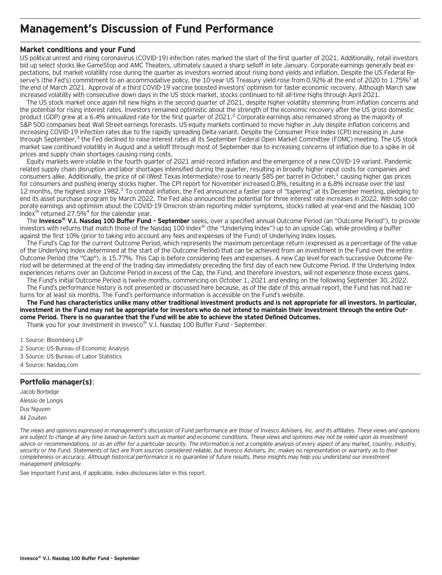### **Management's Discussion of Fund Performance**

### **Market conditions and your Fund**

US political unrest and rising coronavirus (COVID-19) infection rates marked the start of the first quarter of 2021. Additionally, retail investors bid up select stocks like GameStop and AMC Theaters, ultimately caused a sharp selloff in late January. Corporate earnings generally beat expectations, but market volatility rose during the quarter as investors worried about rising bond yields and inflation. Despite the US Federal Reserve's (the Fed's) commitment to an accommodative policy, the 10-year US Treasury yield rose from 0.92% at the end of 2020 to 1.75%<sup>1</sup> at the end of March 2021. Approval of a third COVID-19 vaccine boosted investors' optimism for faster economic recovery. Although March saw increased volatility with consecutive down days in the US stock market, stocks continued to hit all-time highs through April 2021.

The US stock market once again hit new highs in the second quarter of 2021, despite higher volatility stemming from inflation concerns and the potential for rising interest rates. Investors remained optimistic about the strength of the economic recovery after the US gross domestic product (GDP) grew at a 6.4% annualized rate for the first quarter of 2021.<sup>2</sup> Corporate earnings also remained strong as the majority of S&P 500 companies beat Wall Street earnings forecasts. US equity markets continued to move higher in July despite inflation concerns and increasing COVID-19 infection rates due to the rapidly spreading Delta variant. Despite the Consumer Price Index (CPI) increasing in June through September,<sup>3</sup> the Fed declined to raise interest rates at its September Federal Open Market Committee (FOMC) meeting. The US stock market saw continued volatility in August and a selloff through most of September due to increasing concerns of inflation due to a spike in oil prices and supply chain shortages causing rising costs.

Equity markets were volatile in the fourth quarter of 2021 amid record inflation and the emergence of a new COVID-19 variant. Pandemic related supply chain disruption and labor shortages intensified during the quarter, resulting in broadly higher input costs for companies and consumers alike. Additionally, the price of oil (West Texas Intermediate) rose to nearly \$85 per barrel in October,<sup>1</sup> causing higher gas prices for consumers and pushing energy stocks higher. The CPI report for November increased 0.8%, resulting in a 6.8% increase over the last 12 months, the highest since 1982.<sup>3</sup> To combat inflation, the Fed announced a faster pace of "tapering" at its December meeting, pledging to end its asset purchase program by March 2022. The Fed also announced the potential for three interest rate increases in 2022. With solid corporate earnings and optimism about the COVID-19 Omicron strain reporting milder symptoms, stocks rallied at year-end and the Nasdaq 100 Index<sup>®</sup> returned 27.5%<sup>4</sup> for the calendar year.

The **Invesco® V.I. Nasdaq 100 Buffer Fund – September** seeks, over a specified annual Outcome Period (an "Outcome Period"), to provide investors with returns that match those of the Nasdaq 100 Index<sup>®</sup> (the "Underlying Index") up to an upside Cap, while providing a buffer against the first 10% (prior to taking into account any fees and expenses of the Fund) of Underlying Index losses.

The Fund's Cap for the current Outcome Period, which represents the maximum percentage return (expressed as a percentage of the value of the Underlying Index determined at the start of the Outcome Period) that can be achieved from an investment in the Fund over the entire Outcome Period (the "Cap"), is 15.77%. This Cap is before considering fees and expenses. A new Cap level for each successive Outcome Period will be determined at the end of the trading day immediately preceding the first day of each new Outcome Period. If the Underlying Index experiences returns over an Outcome Period in excess of the Cap, the Fund, and therefore investors, will not experience those excess gains.

The Fund's initial Outcome Period is twelve months, commencing on October 1, 2021 and ending on the following September 30, 2022. The Fund's performance history is not presented or discussed here because, as of the date of this annual report, the Fund has not had returns for at least six months. The Fund's performance information is accessible on the Fund's website.

**The Fund has characteristics unlike many other traditional investment products and is not appropriate for all investors. In particular, investment in the Fund may not be appropriate for investors who do not intend to maintain their investment through the entire Outcome Period. There is no guarantee that the Fund will be able to achieve the stated Defined Outcomes.**

Thank you for your investment in Invesco® V.I. Nasdaq 100 Buffer Fund - September.

1 Source: Bloomberg LP

- 2 Source: US Bureau of Economic Analysis
- 3 Source: US Bureau of Labor Statistics
- 4 Source: Nasdaq.com

### **Portfolio manager(s)**:

Jacob Borbidge Alessio de Longis Duy Nguyen Ali Zouiten

*The views and opinions expressed in management's discussion of Fund performance are those of Invesco Advisers, Inc. and its affiliates. These views and opinions are subject to change at any time based on factors such as market and economic conditions. These views and opinions may not be relied upon as investment advice or recommendations, or as an offer for a particular security. The information is not a complete analysis of every aspect of any market, country, industry, security or the Fund. Statements of fact are from sources considered reliable, but Invesco Advisers, Inc. makes no representation or warranty as to their completeness or accuracy. Although historical performance is no guarantee of future results, these insights may help you understand our investment management philosophy.*

See important Fund and, if applicable, index disclosures later in this report.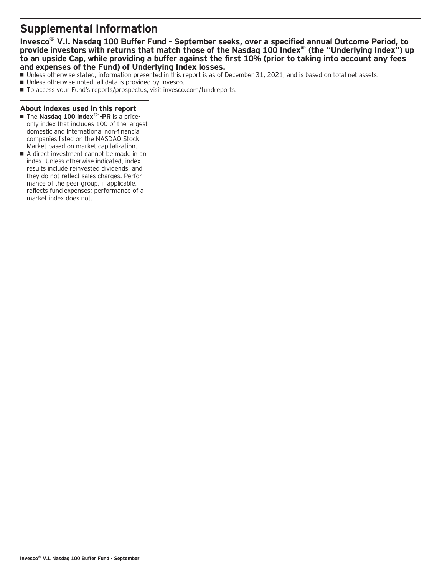### **Supplemental Information**

**Invesco® V.I. Nasdaq 100 Buffer Fund - September seeks, over a specified annual Outcome Period, to provide investors with returns that match those of the Nasdaq 100 Index® (the "Underlying Index") up to an upside Cap, while providing a buffer against the first 10% (prior to taking into account any fees and expenses of the Fund) of Underlying Index losses.**

- Unless otherwise stated, information presented in this report is as of December 31, 2021, and is based on total net assets.
- Unless otherwise noted, all data is provided by Invesco.
- To access your Fund's reports/prospectus, visit invesco.com/fundreports.

### **About indexes used in this report**

- The Nasdaq 100 Index®<sup>-</sup>-PR is a priceonly index that includes 100 of the largest domestic and international non-financial companies listed on the NASDAQ Stock Market based on market capitalization.
- A direct investment cannot be made in an index. Unless otherwise indicated, index results include reinvested dividends, and they do not reflect sales charges. Performance of the peer group, if applicable, reflects fund expenses; performance of a market index does not.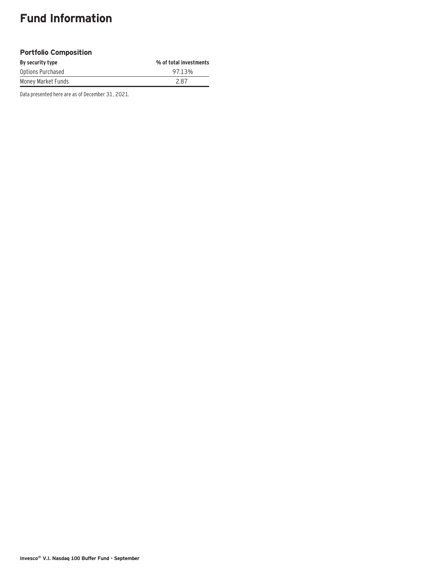## **Fund Information**

### **Portfolio Composition**

| By security type   | % of total investments |
|--------------------|------------------------|
| Options Purchased  | 97.13%                 |
| Money Market Funds | 287                    |

Data presented here are as of December 31, 2021.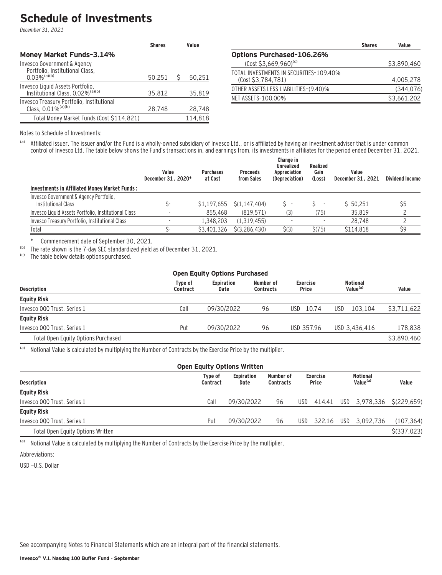### **Schedule of Investments**

December 31, 2021

|                                                                                              | <b>Shares</b> |   | Value   |
|----------------------------------------------------------------------------------------------|---------------|---|---------|
| Money Market Funds-3.14%                                                                     |               |   |         |
| Invesco Government & Agency<br>Portfolio, Institutional Class,<br>$0.03\%$ <sup>(a)(b)</sup> | 50,251        | Ŝ | 50,251  |
| Invesco Liquid Assets Portfolio,<br>Institutional Class, 0.02% <sup>(a)(b)</sup>             | 35.812        |   | 35,819  |
| Invesco Treasury Portfolio, Institutional<br>Class, 0.01% <sup>(a)(b)</sup>                  | 28,748        |   | 28,748  |
| Total Money Market Funds (Cost \$114,821)                                                    |               |   | 114.818 |

|                                                               | <b>Shares</b> | Value       |
|---------------------------------------------------------------|---------------|-------------|
| <b>Options Purchased-106.26%</b>                              |               |             |
| $(Cost $3,669,960)^{(c)}$                                     |               | \$3,890,460 |
| TOTAL INVESTMENTS IN SECURITIES-109.40%<br>(Cost \$3,784,781) |               | 4.005.278   |
| OTHER ASSETS LESS LIABILITIES-(9.40)%                         |               | (344, 076)  |
| NET ASSETS-100.00%                                            |               | \$3,661,202 |

Notes to Schedule of Investments:

(a) Affiliated issuer. The issuer and/or the Fund is a wholly-owned subsidiary of Invesco Ltd., or is affiliated by having an investment adviser that is under common control of Invesco Ltd. The table below shows the Fund's transactions in, and earnings from, its investments in affiliates for the period ended December 31, 2021.

|                                                               | Value<br>December 31, 2020* | <b>Purchases</b><br>at Cost | <b>Proceeds</b><br>from Sales | Change in<br>Unrealized<br>Appreciation<br>(Depreciation) | Realized<br>Gain<br>(Loss) | Value<br>December 31, 2021 | <b>Dividend Income</b> |
|---------------------------------------------------------------|-----------------------------|-----------------------------|-------------------------------|-----------------------------------------------------------|----------------------------|----------------------------|------------------------|
| Investments in Affiliated Money Market Funds:                 |                             |                             |                               |                                                           |                            |                            |                        |
| Invesco Government & Agency Portfolio.<br>Institutional Class | ς-                          | \$1.197.655                 | S(1.147.404)                  |                                                           |                            | \$50.251                   | \$5                    |
| Invesco Liquid Assets Portfolio, Institutional Class          |                             | 855.468                     | (819.571)                     | (3)                                                       | (75)                       | 35,819                     |                        |
| Invesco Treasury Portfolio, Institutional Class               |                             | 1.348.203                   | (1.319.455)                   |                                                           |                            | 28.748                     |                        |
| Total                                                         |                             | \$3,401,326                 | \$(3.286.430)                 | $\zeta(3)$                                                | \$(75)                     | \$114.818                  | \$9                    |

\* Commencement date of September 30, 2021.

(b) The rate shown is the 7-day SEC standardized yield as of December 31, 2021.<br>(c) The table below details ontions nurchased

The table below details options purchased.

| <b>Open Equity Options Purchased</b> |                           |                               |                          |                                         |             |  |  |  |
|--------------------------------------|---------------------------|-------------------------------|--------------------------|-----------------------------------------|-------------|--|--|--|
| Type of<br>Contract                  | <b>Expiration</b><br>Date | Number of<br><b>Contracts</b> | <b>Exercise</b><br>Price | <b>Notional</b><br>Value <sup>(a)</sup> | Value       |  |  |  |
|                                      |                           |                               |                          |                                         |             |  |  |  |
| Call                                 | 09/30/2022                | 96                            | 10.74<br>USD-            | 103.104<br>USD                          | \$3.711.622 |  |  |  |
|                                      |                           |                               |                          |                                         |             |  |  |  |
| Put                                  | 09/30/2022                | 96                            | USD 357.96               | USD 3.436.416                           | 178.838     |  |  |  |
|                                      |                           |                               |                          |                                         | \$3,890,460 |  |  |  |
|                                      |                           |                               |                          |                                         |             |  |  |  |

(a) Notional Value is calculated by multiplying the Number of Contracts by the Exercise Price by the multiplier.

| <b>Open Equity Options Written</b> |                     |                           |                               |      |                                 |     |                                         |               |
|------------------------------------|---------------------|---------------------------|-------------------------------|------|---------------------------------|-----|-----------------------------------------|---------------|
| <b>Description</b>                 | Tvpe of<br>Contract | <b>Expiration</b><br>Date | Number of<br><b>Contracts</b> |      | <b>Exercise</b><br><b>Price</b> |     | <b>Notional</b><br>Value <sup>(a)</sup> | Value         |
| <b>Equity Risk</b>                 |                     |                           |                               |      |                                 |     |                                         |               |
| Invesco QQQ Trust, Series 1        | Call                | 09/30/2022                | 96                            | USD. |                                 |     | 414.41 USD 3.978.336 \$(229.659)        |               |
| <b>Equity Risk</b>                 |                     |                           |                               |      |                                 |     |                                         |               |
| Invesco QQQ Trust, Series 1        | Put                 | 09/30/2022                | 96                            | USD  | 322.16                          | USD | 3.092.736                               | (107, 364)    |
| Total Open Equity Options Written  |                     |                           |                               |      |                                 |     |                                         | $$$ (337,023) |

(a) Notional Value is calculated by multiplying the Number of Contracts by the Exercise Price by the multiplier.

Abbreviations:

USD —U.S. Dollar

See accompanying Notes to Financial Statements which are an integral part of the financial statements.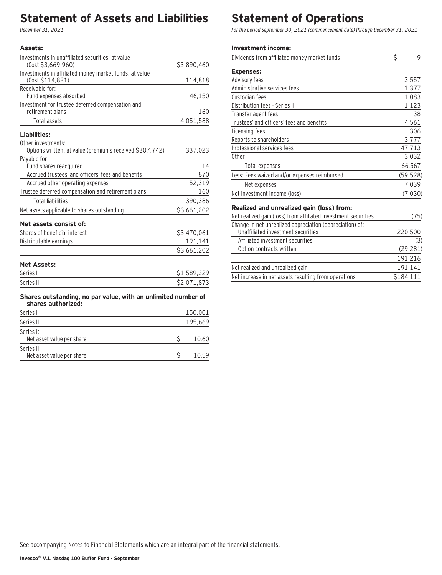### **Statement of Assets and Liabilities**

December 31, 2021

### **Assets:**

| Investments in unaffiliated securities, at value                                    |             |
|-------------------------------------------------------------------------------------|-------------|
| (Cost \$3,669,960)                                                                  | \$3,890,460 |
| Investments in affiliated money market funds, at value                              |             |
| (Cost \$114,821)                                                                    | 114,818     |
| Receivable for:<br>Fund expenses absorbed                                           | 46,150      |
| Investment for trustee deferred compensation and                                    |             |
| retirement plans                                                                    | 160         |
| <b>Total assets</b>                                                                 | 4,051,588   |
| Liabilities:                                                                        |             |
| Other investments:                                                                  |             |
| Options written, at value (premiums received \$307,742)                             | 337,023     |
| Payable for:                                                                        |             |
| Fund shares reacquired                                                              | 14          |
| Accrued trustees' and officers' fees and benefits                                   | 870         |
| Accrued other operating expenses                                                    | 52,319      |
| Trustee deferred compensation and retirement plans                                  | 160         |
| <b>Total liabilities</b>                                                            | 390,386     |
| Net assets applicable to shares outstanding                                         | \$3,661,202 |
| Net assets consist of:                                                              |             |
| Shares of beneficial interest                                                       | \$3,470,061 |
| Distributable earnings                                                              | 191,141     |
|                                                                                     | \$3,661,202 |
| <b>Net Assets:</b>                                                                  |             |
| Series I                                                                            | \$1,589,329 |
| Series II                                                                           | \$2,071,873 |
| Shares outstanding, no par value, with an unlimited number of<br>shares authorized: |             |
| Series I                                                                            | 150,001     |
| Series II                                                                           | 195,669     |
| Series I:                                                                           |             |
| Net asset value per share                                                           | \$<br>10.60 |

#### Series II: Net asset value per share  $$ 10.59$

### **Statement of Operations**

For the period September 30, 2021 (commencement date) through December 31, 2021

### **Investment income:**

| Dividends from affiliated money market funds                                                   | Ś | 9         |
|------------------------------------------------------------------------------------------------|---|-----------|
| <b>Expenses:</b>                                                                               |   |           |
| Advisory fees                                                                                  |   | 3,557     |
| Administrative services fees                                                                   |   | 1,377     |
| Custodian fees                                                                                 |   | 1,083     |
| Distribution fees - Series II                                                                  |   | 1,123     |
| Transfer agent fees                                                                            |   | 38        |
| Trustees' and officers' fees and benefits                                                      |   | 4,561     |
| Licensing fees                                                                                 |   | 306       |
| Reports to shareholders                                                                        |   | 3,777     |
| Professional services fees                                                                     |   | 47,713    |
| 0ther                                                                                          |   | 3,032     |
| Total expenses                                                                                 |   | 66,567    |
| Less: Fees waived and/or expenses reimbursed                                                   |   | (59, 528) |
| Net expenses                                                                                   |   | 7,039     |
| Net investment income (loss)                                                                   |   | (7,030)   |
| Realized and unrealized gain (loss) from:                                                      |   |           |
| Net realized gain (loss) from affiliated investment securities                                 |   | (75)      |
| Change in net unrealized appreciation (depreciation) of:<br>Unaffiliated investment securities |   | 220,500   |
| Affiliated investment securities                                                               |   | (3)       |

| Affiliated investment securities                     |           |
|------------------------------------------------------|-----------|
| Option contracts written                             | (29, 281) |
|                                                      | 191.216   |
| Net realized and unrealized gain                     | 191.141   |
| Net increase in net assets resulting from operations | \$184.111 |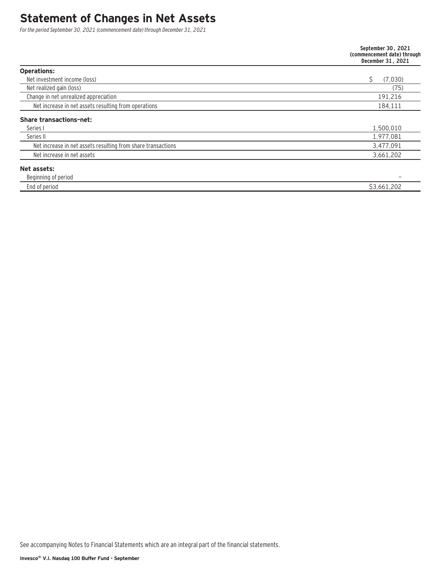### **Statement of Changes in Net Assets**

For the period September 30, 2021 (commencement date) through December 31, 2021

|                                                              | September 30, 2021<br>(commencement date) through<br>December 31, 2021 |
|--------------------------------------------------------------|------------------------------------------------------------------------|
| <b>Operations:</b>                                           |                                                                        |
| Net investment income (loss)                                 | Ŝ<br>(7,030)                                                           |
| Net realized gain (loss)                                     | (75)                                                                   |
| Change in net unrealized appreciation                        | 191,216                                                                |
| Net increase in net assets resulting from operations         | 184,111                                                                |
| <b>Share transactions-net:</b>                               |                                                                        |
| Series I                                                     | 1,500,010                                                              |
| Series II                                                    | 1,977,081                                                              |
| Net increase in net assets resulting from share transactions | 3,477,091                                                              |
| Net increase in net assets                                   | 3,661,202                                                              |
| Net assets:                                                  |                                                                        |
| Beginning of period                                          | -                                                                      |
| End of period                                                | \$3,661,202                                                            |

See accompanying Notes to Financial Statements which are an integral part of the financial statements.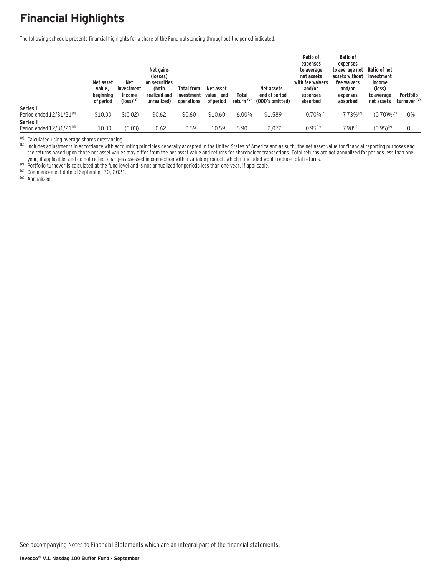# **Financial Highlights**

The following schedule presents financial highlights for a share of the Fund outstanding throughout the period indicated.

|                               | Net asset<br>value.<br>beginning<br>of period | <b>Net</b><br>investment<br>income<br>$(logs)$ <sup>(a)</sup> | Net gains<br>(losses)<br>on securities<br>(both<br>realized and<br>unrealized) | <b>Total from</b><br>investment<br>operations | Net asset<br>value, end<br>of period | Total<br>return (b) | Net assets.<br>end of period<br>(000's omitted) | Ratio of<br>expenses<br>to average<br>net assets<br>with fee waivers<br>and/or<br>expenses<br>absorbed | Ratio of<br>expenses<br>to average net<br>assets without<br>fee waivers<br>and/or<br>expenses<br>absorbed | Ratio of net<br>investment<br>income<br>(loss)<br>to average<br>net assets | Portfolio<br>turnover <sup>(c)</sup> |
|-------------------------------|-----------------------------------------------|---------------------------------------------------------------|--------------------------------------------------------------------------------|-----------------------------------------------|--------------------------------------|---------------------|-------------------------------------------------|--------------------------------------------------------------------------------------------------------|-----------------------------------------------------------------------------------------------------------|----------------------------------------------------------------------------|--------------------------------------|
| Series I                      |                                               |                                                               |                                                                                |                                               |                                      |                     |                                                 |                                                                                                        |                                                                                                           |                                                                            |                                      |
| Period ended $12/31/21^{(d)}$ | \$10.00                                       | \$(0.02)                                                      | \$0.62                                                                         | \$0.60                                        | \$10.60                              | 6.00%               | \$1,589                                         | $0.70\%$ <sup>(e)</sup>                                                                                | $7.73%$ <sup>(e)</sup>                                                                                    | $(0.70)$ % <sup>(e)</sup>                                                  | 0%                                   |
| Series II                     |                                               |                                                               |                                                                                |                                               |                                      |                     |                                                 |                                                                                                        |                                                                                                           |                                                                            |                                      |
| Period ended $12/31/21^{(d)}$ | 10.00                                         | (0.03)                                                        | 0.62                                                                           | 0.59                                          | 10.59                                | 5.90                | 2.072                                           | $0.95^{(e)}$                                                                                           | $7.98^{(e)}$                                                                                              | $(0.95)^{(e)}$                                                             |                                      |

<sup>(a)</sup> Calculated using average shares outstanding.<br><sup>(b)</sup> Includes adjustments in accordance with accounting principles generally accepted in the United States of America and as such, the net asset value for financial repor the returns based upon those net asset values may differ from the net asset value and returns for shareholder transactions. Total returns are not annualized for periods less than one year, if applicable, and do not reflect charges assessed in connection with a variable product, which if included would reduce total returns.<br>
(c) Portfolio turnover is calculated at the fund level and is not annualized fo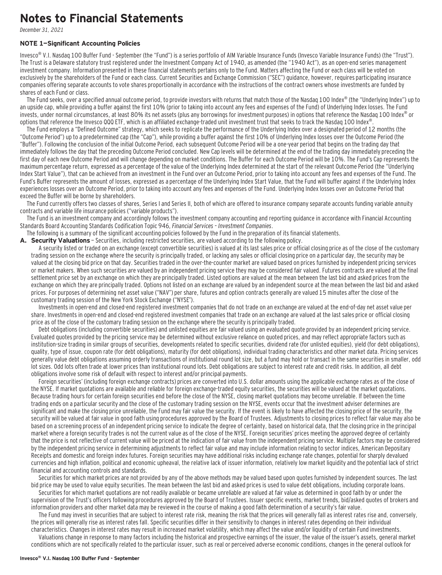### **Notes to Financial Statements**

December 31, 2021

#### **NOTE 1—Significant Accounting Policies**

Invesco<sup>®</sup> V.I. Nasdaq 100 Buffer Fund - September (the "Fund") is a series portfolio of AIM Variable Insurance Funds (Invesco Variable Insurance Funds) (the "Trust"). The Trust is a Delaware statutory trust registered under the Investment Company Act of 1940, as amended (the "1940 Act"), as an open-end series management investment company. Information presented in these financial statements pertains only to the Fund. Matters affecting the Fund or each class will be voted on exclusively by the shareholders of the Fund or each class. Current Securities and Exchange Commission ("SEC") guidance, however, requires participating insurance companies offering separate accounts to vote shares proportionally in accordance with the instructions of the contract owners whose investments are funded by shares of each Fund or class.

The Fund seeks, over a specified annual outcome period, to provide investors with returns that match those of the Nasdaq 100 Index® (the "Underlying Index") up to an upside cap, while providing a buffer against the first 10% (prior to taking into account any fees and expenses of the Fund) of Underlying Index losses. The Fund invests, under normal circumstances, at least 80% its net assets (plus any borrowings for investment purposes) in options that reference the Nasdaq 100 Index<sup>®</sup> or options that reference the Invesco QQQ ETF, which is an affiliated exchange-traded unit investment trust that seeks to track the Nasdaq 100 Index®.

The Fund employs a "Defined Outcome" strategy, which seeks to replicate the performance of the Underlying Index over a designated period of 12 months (the "Outcome Period") up to a predetermined cap (the "Cap"), while providing a buffer against the first 10% of Underlying Index losses over the Outcome Period (the "Buffer"). Following the conclusion of the initial Outcome Period, each subsequent Outcome Period will be a one-year period that begins on the trading day that immediately follows the day that the preceding Outcome Period concluded. New Cap levels will be determined at the end of the trading day immediately preceding the first day of each new Outcome Period and will change depending on market conditions. The Buffer for each Outcome Period will be 10%. The Fund's Cap represents the maximum percentage return, expressed as a percentage of the value of the Underlying Index determined at the start of the relevant Outcome Period (the "Underlying Index Start Value"), that can be achieved from an investment in the Fund over an Outcome Period, prior to taking into account any fees and expenses of the Fund. The Fund's Buffer represents the amount of losses, expressed as a percentage of the Underlying Index Start Value, that the Fund will buffer against if the Underlying Index experiences losses over an Outcome Period, prior to taking into account any fees and expenses of the Fund. Underlying Index losses over an Outcome Period that exceed the Buffer will be borne by shareholders.

The Fund currently offers two classes of shares, Series I and Series II, both of which are offered to insurance company separate accounts funding variable annuity contracts and variable life insurance policies ("variable products").

The Fund is an investment company and accordingly follows the investment company accounting and reporting guidance in accordance with Financial Accounting Standards Board Accounting Standards Codification Topic 946, Financial Services – Investment Companies.

The following is a summary of the significant accounting policies followed by the Fund in the preparation of its financial statements.

A. Security Valuations - Securities, including restricted securities, are valued according to the following policy.

A security listed or traded on an exchange (except convertible securities) is valued at its last sales price or official closing price as of the close of the customary trading session on the exchange where the security is principally traded, or lacking any sales or official closing price on a particular day, the security may be valued at the closing bid price on that day. Securities traded in the over-the-counter market are valued based on prices furnished by independent pricing services or market makers. When such securities are valued by an independent pricing service they may be considered fair valued. Futures contracts are valued at the final settlement price set by an exchange on which they are principally traded. Listed options are valued at the mean between the last bid and asked prices from the exchange on which they are principally traded. Options not listed on an exchange are valued by an independent source at the mean between the last bid and asked prices. For purposes of determining net asset value ("NAV") per share, futures and option contracts generally are valued 15 minutes after the close of the customary trading session of the New York Stock Exchange ("NYSE").

Investments in open-end and closed-end registered investment companies that do not trade on an exchange are valued at the end-of-day net asset value per share. Investments in open-end and closed-end registered investment companies that trade on an exchange are valued at the last sales price or official closing price as of the close of the customary trading session on the exchange where the security is principally traded.

Debt obligations (including convertible securities) and unlisted equities are fair valued using an evaluated quote provided by an independent pricing service. Evaluated quotes provided by the pricing service may be determined without exclusive reliance on quoted prices, and may reflect appropriate factors such as institution-size trading in similar groups of securities, developments related to specific securities, dividend rate (for unlisted equities), yield (for debt obligations), quality, type of issue, coupon rate (for debt obligations), maturity (for debt obligations), individual trading characteristics and other market data. Pricing services generally value debt obligations assuming orderly transactions of institutional round lot size, but a fund may hold or transact in the same securities in smaller, odd lot sizes. Odd lots often trade at lower prices than institutional round lots. Debt obligations are subject to interest rate and credit risks. In addition, all debt obligations involve some risk of default with respect to interest and/or principal payments.

Foreign securities' (including foreign exchange contracts) prices are converted into U.S. dollar amounts using the applicable exchange rates as of the close of the NYSE. If market quotations are available and reliable for foreign exchange-traded equity securities, the securities will be valued at the market quotations. Because trading hours for certain foreign securities end before the close of the NYSE, closing market quotations may become unreliable. If between the time trading ends on a particular security and the close of the customary trading session on the NYSE, events occur that the investment adviser determines are significant and make the closing price unreliable, the Fund may fair value the security. If the event is likely to have affected the closing price of the security, the security will be valued at fair value in good faith using procedures approved by the Board of Trustees. Adjustments to closing prices to reflect fair value may also be based on a screening process of an independent pricing service to indicate the degree of certainty, based on historical data, that the closing price in the principal market where a foreign security trades is not the current value as of the close of the NYSE. Foreign securities' prices meeting the approved degree of certainty that the price is not reflective of current value will be priced at the indication of fair value from the independent pricing service. Multiple factors may be considered by the independent pricing service in determining adjustments to reflect fair value and may include information relating to sector indices, American Depositary Receipts and domestic and foreign index futures. Foreign securities may have additional risks including exchange rate changes, potential for sharply devalued currencies and high inflation, political and economic upheaval, the relative lack of issuer information, relatively low market liquidity and the potential lack of strict financial and accounting controls and standards.

Securities for which market prices are not provided by any of the above methods may be valued based upon quotes furnished by independent sources. The last bid price may be used to value equity securities. The mean between the last bid and asked prices is used to value debt obligations, including corporate loans.

Securities for which market quotations are not readily available or became unreliable are valued at fair value as determined in good faith by or under the supervision of the Trust's officers following procedures approved by the Board of Trustees. Issuer specific events, market trends, bid/asked quotes of brokers and information providers and other market data may be reviewed in the course of making a good faith determination of a security's fair value.

The Fund may invest in securities that are subject to interest rate risk, meaning the risk that the prices will generally fall as interest rates rise and, conversely, the prices will generally rise as interest rates fall. Specific securities differ in their sensitivity to changes in interest rates depending on their individual characteristics. Changes in interest rates may result in increased market volatility, which may affect the value and/or liquidity of certain Fund investments.

Valuations change in response to many factors including the historical and prospective earnings of the issuer, the value of the issuer's assets, general market conditions which are not specifically related to the particular issuer, such as real or perceived adverse economic conditions, changes in the general outlook for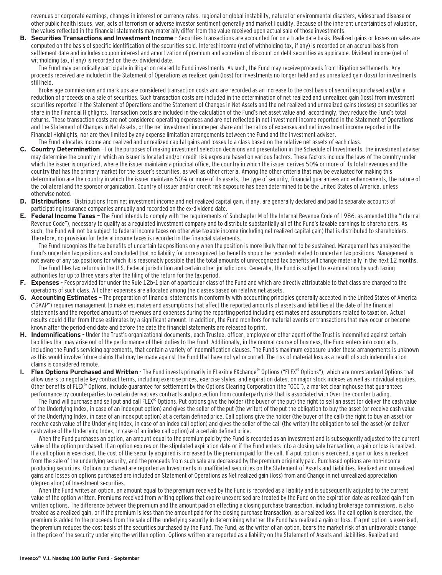revenues or corporate earnings, changes in interest or currency rates, regional or global instability, natural or environmental disasters, widespread disease or other public health issues, war, acts of terrorism or adverse investor sentiment generally and market liquidity. Because of the inherent uncertainties of valuation, the values reflected in the financial statements may materially differ from the value received upon actual sale of those investments.

**B. Securities Transactions and Investment Income** - Securities transactions are accounted for on a trade date basis. Realized gains or losses on sales are computed on the basis of specific identification of the securities sold. Interest income (net of withholding tax, if any) is recorded on an accrual basis from settlement date and includes coupon interest and amortization of premium and accretion of discount on debt securities as applicable. Dividend income (net of withholding tax, if any) is recorded on the ex-dividend date.

The Fund may periodically participate in litigation related to Fund investments. As such, the Fund may receive proceeds from litigation settlements. Any proceeds received are included in the Statement of Operations as realized gain (loss) for investments no longer held and as unrealized gain (loss) for investments still held.

Brokerage commissions and mark ups are considered transaction costs and are recorded as an increase to the cost basis of securities purchased and/or a reduction of proceeds on a sale of securities. Such transaction costs are included in the determination of net realized and unrealized gain (loss) from investment securities reported in the Statement of Operations and the Statement of Changes in Net Assets and the net realized and unrealized gains (losses) on securities per share in the Financial Highlights. Transaction costs are included in the calculation of the Fund's net asset value and, accordingly, they reduce the Fund's total returns. These transaction costs are not considered operating expenses and are not reflected in net investment income reported in the Statement of Operations and the Statement of Changes in Net Assets, or the net investment income per share and the ratios of expenses and net investment income reported in the Financial Highlights, nor are they limited by any expense limitation arrangements between the Fund and the investment adviser.

#### The Fund allocates income and realized and unrealized capital gains and losses to a class based on the relative net assets of each class.

- **C. Country Determination**  For the purposes of making investment selection decisions and presentation in the Schedule of Investments, the investment adviser may determine the country in which an issuer is located and/or credit risk exposure based on various factors. These factors include the laws of the country under which the issuer is organized, where the issuer maintains a principal office, the country in which the issuer derives 50% or more of its total revenues and the country that has the primary market for the issuer's securities, as well as other criteria. Among the other criteria that may be evaluated for making this determination are the country in which the issuer maintains 50% or more of its assets, the type of security, financial guarantees and enhancements, the nature of the collateral and the sponsor organization. Country of issuer and/or credit risk exposure has been determined to be the United States of America, unless otherwise noted.
- **D. Distributions**  Distributions from net investment income and net realized capital gain, if any, are generally declared and paid to separate accounts of participating insurance companies annually and recorded on the ex-dividend date.
- **E. Federal Income Taxes** The Fund intends to comply with the requirements of Subchapter M of the Internal Revenue Code of 1986, as amended (the "Internal Revenue Code"), necessary to qualify as a regulated investment company and to distribute substantially all of the Fund's taxable earnings to shareholders. As such, the Fund will not be subject to federal income taxes on otherwise taxable income (including net realized capital gain) that is distributed to shareholders. Therefore, no provision for federal income taxes is recorded in the financial statements.

The Fund recognizes the tax benefits of uncertain tax positions only when the position is more likely than not to be sustained. Management has analyzed the Fund's uncertain tax positions and concluded that no liability for unrecognized tax benefits should be recorded related to uncertain tax positions. Management is not aware of any tax positions for which it is reasonably possible that the total amounts of unrecognized tax benefits will change materially in the next 12 months. The Fund files tax returns in the U.S. Federal jurisdiction and certain other jurisdictions. Generally, the Fund is subject to examinations by such taxing authorities for up to three years after the filing of the return for the tax period.

- **F. Expenses**  Fees provided for under the Rule 12b-1 plan of a particular class of the Fund and which are directly attributable to that class are charged to the operations of such class. All other expenses are allocated among the classes based on relative net assets.
- **G. Accounting Estimates** The preparation of financial statements in conformity with accounting principles generally accepted in the United States of America ("GAAP") requires management to make estimates and assumptions that affect the reported amounts of assets and liabilities at the date of the financial statements and the reported amounts of revenues and expenses during the reporting period including estimates and assumptions related to taxation. Actual results could differ from those estimates by a significant amount. In addition, the Fund monitors for material events or transactions that may occur or become known after the period-end date and before the date the financial statements are released to print.
- **H. Indemnifications**  Under the Trust's organizational documents, each Trustee, officer, employee or other agent of the Trust is indemnified against certain liabilities that may arise out of the performance of their duties to the Fund. Additionally, in the normal course of business, the Fund enters into contracts, including the Fund's servicing agreements, that contain a variety of indemnification clauses. The Fund's maximum exposure under these arrangements is unknown as this would involve future claims that may be made against the Fund that have not yet occurred. The risk of material loss as a result of such indemnification claims is considered remote.
- **Flex Options Purchased and Written** The Fund invests primarily in FLexible EXchange<sup>®</sup> Options ("FLEX® Options"), which are non-standard Options that allow users to negotiate key contract terms, including exercise prices, exercise styles, and expiration dates, on major stock indexes as well as individual equities. Other benefits of FLEX® Options, include guarantee for settlement by the Options Clearing Corporation (the "OCC"), a market clearinghouse that guarantees performance by counterparties to certain derivatives contracts and protection from counterparty risk that is associated with Over-the-counter trading.

The Fund will purchase and sell put and call FLEX® Options. Put options give the holder (the buyer of the put) the right to sell an asset (or deliver the cash value of the Underlying Index, in case of an index put option) and gives the seller of the put (the writer) of the put the obligation to buy the asset (or receive cash value of the Underlying Index, in case of an index put option) at a certain defined price. Call options give the holder (the buyer of the call) the right to buy an asset (or receive cash value of the Underlying Index, in case of an index call option) and gives the seller of the call (the writer) the obligation to sell the asset (or deliver cash value of the Underlying Index, in case of an index call option) at a certain defined price.

When the Fund purchases an option, an amount equal to the premium paid by the Fund is recorded as an investment and is subsequently adjusted to the current value of the option purchased. If an option expires on the stipulated expiration date or if the Fund enters into a closing sale transaction, a gain or loss is realized. If a call option is exercised, the cost of the security acquired is increased by the premium paid for the call. If a put option is exercised, a gain or loss is realized from the sale of the underlying security, and the proceeds from such sale are decreased by the premium originally paid. Purchased options are non-income producing securities. Options purchased are reported as Investments in unaffiliated securities on the Statement of Assets and Liabilities. Realized and unrealized gains and losses on options purchased are included on Statement of Operations as Net realized gain (loss) from and Change in net unrealized appreciation (depreciation) of Investment securities.

When the Fund writes an option, an amount equal to the premium received by the Fund is recorded as a liability and is subsequently adjusted to the current value of the option written. Premiums received from writing options that expire unexercised are treated by the Fund on the expiration date as realized gain from written options. The difference between the premium and the amount paid on effecting a closing purchase transaction, including brokerage commissions, is also treated as a realized gain, or if the premium is less than the amount paid for the closing purchase transaction, as a realized loss. If a call option is exercised, the premium is added to the proceeds from the sale of the underlying security in determining whether the Fund has realized a gain or loss. If a put option is exercised, the premium reduces the cost basis of the securities purchased by the Fund. The Fund, as the writer of an option, bears the market risk of an unfavorable change in the price of the security underlying the written option. Options written are reported as a liability on the Statement of Assets and Liabilities. Realized and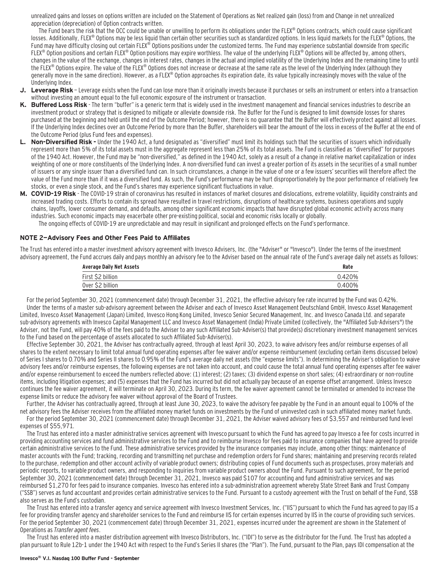unrealized gains and losses on options written are included on the Statement of Operations as Net realized gain (loss) from and Change in net unrealized appreciation (depreciation) of Option contracts written.

The Fund bears the risk that the OCC could be unable or unwilling to perform its obligations under the FLEX® Options contracts, which could cause significant losses. Additionally, FLEX® Options may be less liquid than certain other securities such as standardized options. In less liquid markets for the FLEX® Options, the Fund may have difficulty closing out certain FLEX® Options positions under the customized terms. The Fund may experience substantial downside from specific FLEX<sup>®</sup> Option positions and certain FLEX<sup>®</sup> Option positions may expire worthless. The value of the underlying FLEX<sup>®</sup> Options will be affected by, among others, changes in the value of the exchange, changes in interest rates, changes in the actual and implied volatility of the Underlying Index and the remaining time to until the FLEX® Options expire. The value of the FLEX® Options does not increase or decrease at the same rate as the level of the Underlying Index (although they generally move in the same direction). However, as a FLEX® Option approaches its expiration date, its value typically increasingly moves with the value of the Underlying Index.

- **J. Leverage Risk**  Leverage exists when the Fund can lose more than it originally invests because it purchases or sells an instrument or enters into a transaction without investing an amount equal to the full economic exposure of the instrument or transaction.
- **K. Buffered Loss Risk**  The term "buffer" is a generic term that is widely used in the investment management and financial services industries to describe an investment product or strategy that is designed to mitigate or alleviate downside risk. The Buffer for the Fund is designed to limit downside losses for shares purchased at the beginning and held until the end of the Outcome Period; however, there is no guarantee that the Buffer will effectively protect against all losses. If the Underlying Index declines over an Outcome Period by more than the Buffer, shareholders will bear the amount of the loss in excess of the Buffer at the end of the Outcome Period (plus Fund fees and expenses).
- **L. Non-Diversified Risk** Under the 1940 Act, a fund designated as "diversified" must limit its holdings such that the securities of issuers which individually represent more than 5% of its total assets must in the aggregate represent less than 25% of its total assets. The Fund is classified as "diversified" for purposes of the 1940 Act. However, the Fund may be "non-diversified," as defined in the 1940 Act, solely as a result of a change in relative market capitalization or index weighting of one or more constituents of the Underlying Index. A non-diversified fund can invest a greater portion of its assets in the securities of a small number of issuers or any single issuer than a diversified fund can. In such circumstances, a change in the value of one or a few issuers' securities will therefore affect the value of the Fund more than if it was a diversified fund. As such, the Fund's performance may be hurt disproportionately by the poor performance of relatively few stocks, or even a single stock, and the Fund's shares may experience significant fluctuations in value.
- **M. COVID-19 Risk**  The COVID-19 strain of coronavirus has resulted in instances of market closures and dislocations, extreme volatility, liquidity constraints and increased trading costs. Efforts to contain its spread have resulted in travel restrictions, disruptions of healthcare systems, business operations and supply chains, layoffs, lower consumer demand, and defaults, among other significant economic impacts that have disrupted global economic activity across many industries. Such economic impacts may exacerbate other pre-existing political, social and economic risks locally or globally. The ongoing effects of COVID-19 are unpredictable and may result in significant and prolonged effects on the Fund's performance.

#### **NOTE 2—Advisory Fees and Other Fees Paid to Affiliates**

The Trust has entered into a master investment advisory agreement with Invesco Advisers, Inc. (the "Adviser" or "Invesco"). Under the terms of the investment advisory agreement, the Fund accrues daily and pays monthly an advisory fee to the Adviser based on the annual rate of the Fund's average daily net assets as follows:

| <b>Average Daily Net Assets</b> | Rate   |
|---------------------------------|--------|
| First \$2 billion               | 0.420% |
| Over \$2 billion                | 0.400% |

For the period September 30, 2021 (commencement date) through December 31, 2021, the effective advisory fee rate incurred by the Fund was 0.42%. Under the terms of a master sub-advisory agreement between the Adviser and each of Invesco Asset Management Deutschland GmbH, Invesco Asset Management Limited, Invesco Asset Management (Japan) Limited, Invesco Hong Kong Limited, Invesco Senior Secured Management, Inc. and Invesco Canada Ltd. and separate sub-advisory agreements with Invesco Capital Management LLC and Invesco Asset Management (India) Private Limited (collectively, the "Affiliated Sub-Advisers") the Adviser, not the Fund, will pay 40% of the fees paid to the Adviser to any such Affiliated Sub-Adviser(s) that provide(s) discretionary investment management services to the Fund based on the percentage of assets allocated to such Affiliated Sub-Adviser(s).

Effective September 30, 2021, the Adviser has contractually agreed, through at least April 30, 2023, to waive advisory fees and/or reimburse expenses of all shares to the extent necessary to limit total annual fund operating expenses after fee waiver and/or expense reimbursement (excluding certain items discussed below) of Series I shares to 0.70% and Series II shares to 0.95% of the Fund's average daily net assets (the "expense limits"). In determining the Adviser's obligation to waive advisory fees and/or reimburse expenses, the following expenses are not taken into account, and could cause the total annual fund operating expenses after fee waiver and/or expense reimbursement to exceed the numbers reflected above: (1) interest; (2) taxes; (3) dividend expense on short sales; (4) extraordinary or non-routine items, including litigation expenses; and (5) expenses that the Fund has incurred but did not actually pay because of an expense offset arrangement. Unless Invesco continues the fee waiver agreement, it will terminate on April 30, 2023. During its term, the fee waiver agreement cannot be terminated or amended to increase the expense limits or reduce the advisory fee waiver without approval of the Board of Trustees.

Further, the Adviser has contractually agreed, through at least June 30, 2023, to waive the advisory fee payable by the Fund in an amount equal to 100% of the net advisory fees the Adviser receives from the affiliated money market funds on investments by the Fund of uninvested cash in such affiliated money market funds.

For the period September 30, 2021 (commencement date) through December 31, 2021, the Adviser waived advisory fees of \$3,557 and reimbursed fund level expenses of \$55,971.

The Trust has entered into a master administrative services agreement with Invesco pursuant to which the Fund has agreed to pay Invesco a fee for costs incurred in providing accounting services and fund administrative services to the Fund and to reimburse Invesco for fees paid to insurance companies that have agreed to provide certain administrative services to the Fund. These administrative services provided by the insurance companies may include, among other things: maintenance of master accounts with the Fund; tracking, recording and transmitting net purchase and redemption orders for Fund shares; maintaining and preserving records related to the purchase, redemption and other account activity of variable product owners; distributing copies of Fund documents such as prospectuses, proxy materials and periodic reports, to variable product owners, and responding to inquiries from variable product owners about the Fund. Pursuant to such agreement, for the period September 30, 2021 (commencement date) through December 31, 2021, Invesco was paid \$107 for accounting and fund administrative services and was reimbursed \$1,270 for fees paid to insurance companies. Invesco has entered into a sub-administration agreement whereby State Street Bank and Trust Company ("SSB") serves as fund accountant and provides certain administrative services to the Fund. Pursuant to a custody agreement with the Trust on behalf of the Fund, SSB also serves as the Fund's custodian.

The Trust has entered into a transfer agency and service agreement with Invesco Investment Services, Inc. ("IIS") pursuant to which the Fund has agreed to pay IIS a fee for providing transfer agency and shareholder services to the Fund and reimburse IIS for certain expenses incurred by IIS in the course of providing such services. For the period September 30, 2021 (commencement date) through December 31, 2021, expenses incurred under the agreement are shown in the Statement of Operations as Transfer agent fees.

The Trust has entered into a master distribution agreement with Invesco Distributors, Inc. ("IDI") to serve as the distributor for the Fund. The Trust has adopted a plan pursuant to Rule 12b-1 under the 1940 Act with respect to the Fund's Series II shares (the "Plan"). The Fund, pursuant to the Plan, pays IDI compensation at the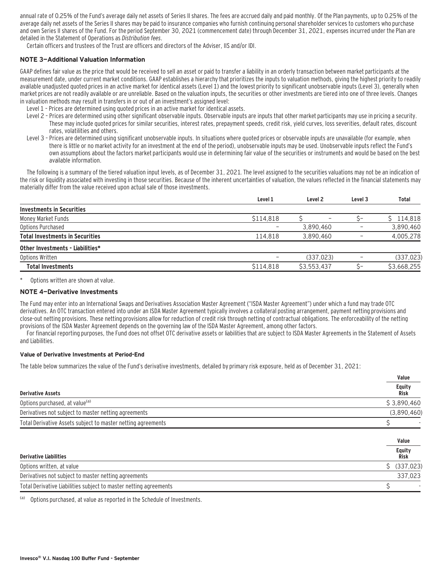annual rate of 0.25% of the Fund's average daily net assets of Series II shares. The fees are accrued daily and paid monthly. Of the Plan payments, up to 0.25% of the average daily net assets of the Series II shares may be paid to insurance companies who furnish continuing personal shareholder services to customers who purchase and own Series II shares of the Fund. For the period September 30, 2021 (commencement date) through December 31, 2021, expenses incurred under the Plan are detailed in the Statement of Operations as Distribution fees.

Certain officers and trustees of the Trust are officers and directors of the Adviser, IIS and/or IDI.

#### **NOTE 3—Additional Valuation Information**

GAAP defines fair value as the price that would be received to sell an asset or paid to transfer a liability in an orderly transaction between market participants at the measurement date, under current market conditions. GAAP establishes a hierarchy that prioritizes the inputs to valuation methods, giving the highest priority to readily available unadjusted quoted prices in an active market for identical assets (Level 1) and the lowest priority to significant unobservable inputs (Level 3), generally when market prices are not readily available or are unreliable. Based on the valuation inputs, the securities or other investments are tiered into one of three levels. Changes in valuation methods may result in transfers in or out of an investment's assigned level:

- Level 1 Prices are determined using quoted prices in an active market for identical assets.
- Level 2 Prices are determined using other significant observable inputs. Observable inputs that other market participants may use in pricing a security. These may include quoted prices for similar securities, interest rates, prepayment speeds, credit risk, yield curves, loss severities, default rates, discount rates, volatilities and others.
- Level 3 Prices are determined using significant unobservable inputs. In situations where quoted prices or observable inputs are unavailable (for example, when there is little or no market activity for an investment at the end of the period), unobservable inputs may be used. Unobservable inputs reflect the Fund's own assumptions about the factors market participants would use in determining fair value of the securities or instruments and would be based on the best available information.

The following is a summary of the tiered valuation input levels, as of December 31, 2021. The level assigned to the securities valuations may not be an indication of the risk or liquidity associated with investing in those securities. Because of the inherent uncertainties of valuation, the values reflected in the financial statements may materially differ from the value received upon actual sale of those investments.

|                                        | Level 1                  | Level <sub>2</sub> | Level 3 | Total       |
|----------------------------------------|--------------------------|--------------------|---------|-------------|
| <b>Investments in Securities</b>       |                          |                    |         |             |
| Money Market Funds                     | \$114,818                |                    |         | \$114,818   |
| Options Purchased                      | $\overline{\phantom{0}}$ | 3,890,460          | -       | 3,890,460   |
| <b>Total Investments in Securities</b> | 114.818                  | 3.890.460          |         | 4,005,278   |
| Other Investments - Liabilities*       |                          |                    |         |             |
| Options Written                        | $\overline{\phantom{0}}$ | (337, 023)         |         | (337, 023)  |
| <b>Total Investments</b>               | \$114,818                | \$3,553,437        |         | \$3,668,255 |
|                                        |                          |                    |         |             |

Options written are shown at value.

#### **NOTE 4—Derivative Investments**

The Fund may enter into an International Swaps and Derivatives Association Master Agreement ("ISDA Master Agreement") under which a fund may trade OTC derivatives. An OTC transaction entered into under an ISDA Master Agreement typically involves a collateral posting arrangement, payment netting provisions and close-out netting provisions. These netting provisions allow for reduction of credit risk through netting of contractual obligations. The enforceability of the netting provisions of the ISDA Master Agreement depends on the governing law of the ISDA Master Agreement, among other factors.

For financial reporting purposes, the Fund does not offset OTC derivative assets or liabilities that are subject to ISDA Master Agreements in the Statement of Assets and Liabilities.

#### **Value of Derivative Investments at Period-End**

The table below summarizes the value of the Fund's derivative investments, detailed by primary risk exposure, held as of December 31, 2021:

|                                                                   | Value                 |
|-------------------------------------------------------------------|-----------------------|
| <b>Derivative Assets</b>                                          | <b>Equity</b><br>Risk |
| Options purchased, at value <sup>(a)</sup>                        | \$3,890,460           |
| Derivatives not subject to master netting agreements              | (3,890,460)           |
| Total Derivative Assets subject to master netting agreements      |                       |
|                                                                   | Value                 |
| <b>Derivative Liabilities</b>                                     | <b>Equity</b><br>Risk |
| Options written, at value                                         | Ś.<br>(337, 023)      |
| Derivatives not subject to master netting agreements              | 337,023               |
| Total Derivative Liabilities subject to master netting agreements |                       |

Options purchased, at value as reported in the Schedule of Investments.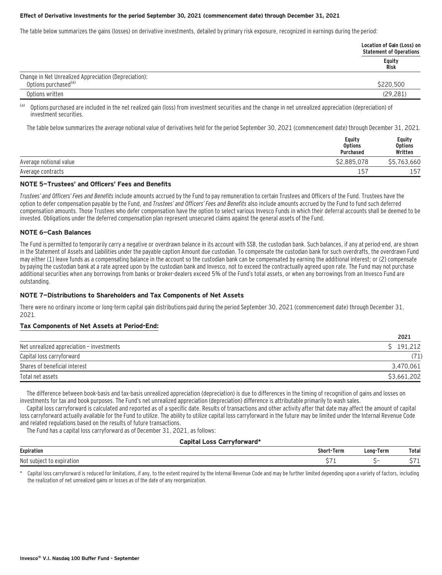#### **Effect of Derivative Investments for the period September 30, 2021 (commencement date) through December 31, 2021**

The table below summarizes the gains (losses) on derivative investments, detailed by primary risk exposure, recognized in earnings during the period:

|                                                                                           | Location of Gain (Loss) on<br><b>Statement of Operations</b> |
|-------------------------------------------------------------------------------------------|--------------------------------------------------------------|
|                                                                                           | Equity<br><b>Risk</b>                                        |
| Change in Net Unrealized Appreciation (Depreciation):<br>Options purchased <sup>(a)</sup> | \$220.500                                                    |
| Options written                                                                           | (29, 281)                                                    |

(a) Options purchased are included in the net realized gain (loss) from investment securities and the change in net unrealized appreciation (depreciation) of investment securities.

The table below summarizes the average notional value of derivatives held for the period September 30, 2021 (commencement date) through December 31, 2021.

|                        | Equity<br><b>Options</b><br><b>Purchased</b> | Equity<br><b>Options</b><br>Written |
|------------------------|----------------------------------------------|-------------------------------------|
| Average notional value | \$2,885,078                                  | \$5,763,660                         |
| Average contracts      | $15^{-}$                                     | 157                                 |

#### **NOTE 5—Trustees' and Officers' Fees and Benefits**

Trustees' and Officers' Fees and Benefits include amounts accrued by the Fund to pay remuneration to certain Trustees and Officers of the Fund. Trustees have the option to defer compensation payable by the Fund, and Trustees' and Officers' Fees and Benefits also include amounts accrued by the Fund to fund such deferred compensation amounts. Those Trustees who defer compensation have the option to select various Invesco Funds in which their deferral accounts shall be deemed to be invested. Obligations under the deferred compensation plan represent unsecured claims against the general assets of the Fund.

#### **NOTE 6—Cash Balances**

The Fund is permitted to temporarily carry a negative or overdrawn balance in its account with SSB, the custodian bank. Such balances, if any at period-end, are shown in the Statement of Assets and Liabilities under the payable caption Amount due custodian. To compensate the custodian bank for such overdrafts, the overdrawn Fund may either (1) leave funds as a compensating balance in the account so the custodian bank can be compensated by earning the additional interest; or (2) compensate by paying the custodian bank at a rate agreed upon by the custodian bank and Invesco, not to exceed the contractually agreed upon rate. The Fund may not purchase additional securities when any borrowings from banks or broker-dealers exceed 5% of the Fund's total assets, or when any borrowings from an Invesco Fund are outstanding.

#### **NOTE 7—Distributions to Shareholders and Tax Components of Net Assets**

There were no ordinary income or long-term capital gain distributions paid during the period September 30, 2021 (commencement date) through December 31, 2021.

#### **Tax Components of Net Assets at Period-End:**

|                                           | 2021        |
|-------------------------------------------|-------------|
| Net unrealized appreciation - investments | \$191,212   |
| Capital loss carryforward                 | (71)        |
| Shares of beneficial interest             | 3,470,061   |
| Total net assets                          | \$3,661,202 |

**2021**

The difference between book-basis and tax-basis unrealized appreciation (depreciation) is due to differences in the timing of recognition of gains and losses on investments for tax and book purposes. The Fund's net unrealized appreciation (depreciation) difference is attributable primarily to wash sales.

Capital loss carryforward is calculated and reported as of a specific date. Results of transactions and other activity after that date may affect the amount of capital loss carryforward actually available for the Fund to utilize. The ability to utilize capital loss carryforward in the future may be limited under the Internal Revenue Code and related regulations based on the results of future transactions.

The Fund has a capital loss carryforward as of December 31, 2021, as follows:

#### **Capital Loss Carryforward\***

| Expiratio.                | Shor<br>Term<br>.<br>the contract of the contract of the | Term<br>LONG | Total |
|---------------------------|----------------------------------------------------------|--------------|-------|
| Not<br>expiration<br>sub. | ~-<br>. .                                                |              |       |

Capital loss carryforward is reduced for limitations, if any, to the extent required by the Internal Revenue Code and may be further limited depending upon a variety of factors, including the realization of net unrealized gains or losses as of the date of any reorganization.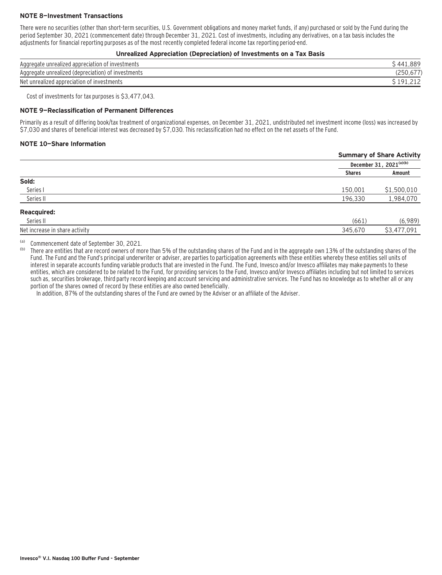### **NOTE 8—Investment Transactions**

There were no securities (other than short-term securities, U.S. Government obligations and money market funds, if any) purchased or sold by the Fund during the period September 30, 2021 (commencement date) through December 31, 2021. Cost of investments, including any derivatives, on a tax basis includes the adjustments for financial reporting purposes as of the most recently completed federal income tax reporting period-end.

#### **Unrealized Appreciation (Depreciation) of Investments on a Tax Basis**

| : investments<br>Aggregate unrealized appreciation | 889 |
|----------------------------------------------------|-----|
| Aggregate unrealized (depreciation) of investments |     |
| Net unrealized appreciation of investments         |     |

Cost of investments for tax purposes is \$3,477,043.

#### **NOTE 9—Reclassification of Permanent Differences**

Primarily as a result of differing book/tax treatment of organizational expenses, on December 31, 2021, undistributed net investment income (loss) was increased by \$7,030 and shares of beneficial interest was decreased by \$7,030. This reclassification had no effect on the net assets of the Fund.

#### **NOTE 10—Share Information**

|                                | <b>Summary of Share Activity</b> |
|--------------------------------|----------------------------------|
|                                | December 31, 2021(a)(b)          |
|                                | Amount<br><b>Shares</b>          |
| Sold:                          |                                  |
| Series I                       | \$1,500,010<br>150,001           |
| Series II                      | 1,984,070<br>196,330             |
| <b>Reacquired:</b>             |                                  |
| Series II                      | (6,989)<br>(661)                 |
| Net increase in share activity | \$3,477,091<br>345,670           |
|                                |                                  |

(a) Commencement date of September 30, 2021.

There are entities that are record owners of more than 5% of the outstanding shares of the Fund and in the aggregate own 13% of the outstanding shares of the Fund. The Fund and the Fund's principal underwriter or adviser, are parties to participation agreements with these entities whereby these entities sell units of interest in separate accounts funding variable products that are invested in the Fund. The Fund, Invesco and/or Invesco affiliates may make payments to these entities, which are considered to be related to the Fund, for providing services to the Fund, Invesco and/or Invesco affiliates including but not limited to services such as, securities brokerage, third party record keeping and account servicing and administrative services. The Fund has no knowledge as to whether all or any portion of the shares owned of record by these entities are also owned beneficially.

In addition, 87% of the outstanding shares of the Fund are owned by the Adviser or an affiliate of the Adviser.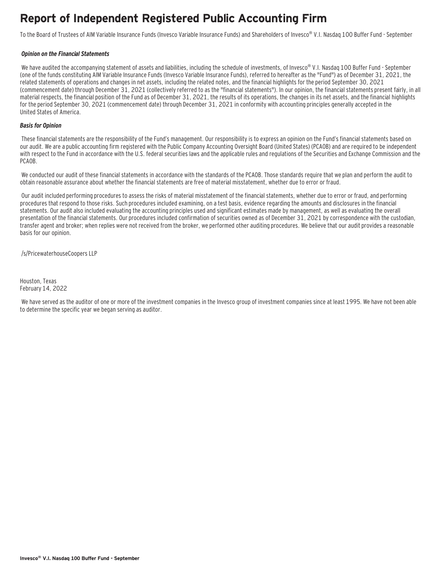### **Report of Independent Registered Public Accounting Firm**

To the Board of Trustees of AIM Variable Insurance Funds (Invesco Variable Insurance Funds) and Shareholders of Invesco® V.I. Nasdaq 100 Buffer Fund - September

#### **Opinion on the Financial Statements**

We have audited the accompanying statement of assets and liabilities, including the schedule of investments, of Invesco® V.I. Nasdaq 100 Buffer Fund - September (one of the funds constituting AIM Variable Insurance Funds (Invesco Variable Insurance Funds), referred to hereafter as the "Fund") as of December 31, 2021, the related statements of operations and changes in net assets, including the related notes, and the financial highlights for the period September 30, 2021 (commencement date) through December 31, 2021 (collectively referred to as the "financial statements"). In our opinion, the financial statements present fairly, in all material respects, the financial position of the Fund as of December 31, 2021, the results of its operations, the changes in its net assets, and the financial highlights for the period September 30, 2021 (commencement date) through December 31, 2021 in conformity with accounting principles generally accepted in the United States of America.

#### **Basis for Opinion**

These financial statements are the responsibility of the Fund's management. Our responsibility is to express an opinion on the Fund's financial statements based on our audit. We are a public accounting firm registered with the Public Company Accounting Oversight Board (United States) (PCAOB) and are required to be independent with respect to the Fund in accordance with the U.S. federal securities laws and the applicable rules and regulations of the Securities and Exchange Commission and the PCAOB.

 We conducted our audit of these financial statements in accordance with the standards of the PCAOB. Those standards require that we plan and perform the audit to obtain reasonable assurance about whether the financial statements are free of material misstatement, whether due to error or fraud.

 Our audit included performing procedures to assess the risks of material misstatement of the financial statements, whether due to error or fraud, and performing procedures that respond to those risks. Such procedures included examining, on a test basis, evidence regarding the amounts and disclosures in the financial statements. Our audit also included evaluating the accounting principles used and significant estimates made by management, as well as evaluating the overall presentation of the financial statements. Our procedures included confirmation of securities owned as of December 31, 2021 by correspondence with the custodian, transfer agent and broker; when replies were not received from the broker, we performed other auditing procedures. We believe that our audit provides a reasonable basis for our opinion.

/s/PricewaterhouseCoopers LLP

Houston, Texas February 14, 2022

 We have served as the auditor of one or more of the investment companies in the Invesco group of investment companies since at least 1995. We have not been able to determine the specific year we began serving as auditor.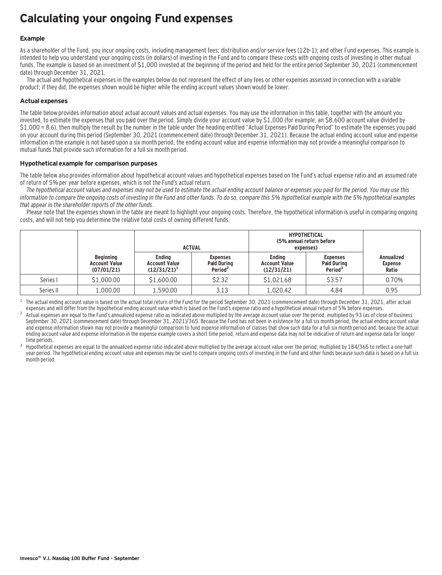### **Calculating your ongoing Fund expenses**

### **Example**

As a shareholder of the Fund, you incur ongoing costs, including management fees; distribution and/or service fees (12b-1); and other Fund expenses. This example is intended to help you understand your ongoing costs (in dollars) of investing in the Fund and to compare these costs with ongoing costs of investing in other mutual funds. The example is based on an investment of \$1,000 invested at the beginning of the period and held for the entire period September 30, 2021 (commencement date) through December 31, 2021.

The actual and hypothetical expenses in the examples below do not represent the effect of any fees or other expenses assessed in connection with a variable product; if they did, the expenses shown would be higher while the ending account values shown would be lower.

### **Actual expenses**

The table below provides information about actual account values and actual expenses. You may use the information in this table, together with the amount you invested, to estimate the expenses that you paid over the period. Simply divide your account value by \$1,000 (for example, an \$8,600 account value divided by \$1,000 = 8.6), then multiply the result by the number in the table under the heading entitled "Actual Expenses Paid During Period" to estimate the expenses you paid on your account during this period (September 30, 2021 (commencement date) through December 31, 2021). Because the actual ending account value and expense information in the example is not based upon a six month period, the ending account value and expense information may not provide a meaningful comparison to mutual funds that provide such information for a full six month period.

#### **Hypothetical example for comparison purposes**

The table below also provides information about hypothetical account values and hypothetical expenses based on the Fund's actual expense ratio and an assumed rate of return of 5% per year before expenses, which is not the Fund's actual return.

The hypothetical account values and expenses may not be used to estimate the actual ending account balance or expenses you paid for the period. You may use this information to compare the ongoing costs of investing in the Fund and other funds. To do so, compare this 5% hypothetical example with the 5% hypothetical examples that appear in the shareholder reports of the other funds.

Please note that the expenses shown in the table are meant to highlight your ongoing costs. Therefore, the hypothetical information is useful in comparing ongoing costs, and will not help you determine the relative total costs of owning different funds.

|           |                                                        |                                                         | <b>ACTUAL</b>                                                |                                                     | <b>HYPOTHETICAL</b><br>(5% annual return before<br>expenses) |                                              |
|-----------|--------------------------------------------------------|---------------------------------------------------------|--------------------------------------------------------------|-----------------------------------------------------|--------------------------------------------------------------|----------------------------------------------|
|           | <b>Beginning</b><br><b>Account Value</b><br>(07/01/21) | <b>Endina</b><br><b>Account Value</b><br>$(12/31/21)^1$ | <b>Expenses</b><br><b>Paid During</b><br>Period <sup>2</sup> | <b>Endina</b><br><b>Account Value</b><br>(12/31/21) | <b>Expenses</b><br><b>Paid During</b><br>Period <sup>3</sup> | <b>Annualized</b><br><b>Expense</b><br>Ratio |
| Series I  | \$1,000.00                                             | \$1,600.00                                              | \$2.32                                                       | \$1,021.68                                          | \$3.57                                                       | 0.70%                                        |
| Series II | 1,000.00                                               | 1.590.00                                                | 3.13                                                         | 1,020.42                                            | 4.84                                                         | 0.95                                         |

The actual ending account value is based on the actual total return of the Fund for the period September 30, 2021 (commencement date) through December 31, 2021, after actual expenses and will differ from the hypothetical e

Actual expenses are equal to the Fund's annualized expense ratio as indicated above multiplied by the average account value over the period, multiplied by 93 (as of close of business September 30, 2021 (commencement date) through December 31, 2021)/365. Because the Fund has not been in existence for a full six month period, the actual ending account value and expense information shown may not provide a meaningful comparison to fund expense information of classes that show such data for a full six month period and, because the actual ending account value and expense information in the expense example covers a short time period, return and expense data may not be indicative of return and expense data for longer

time periods.<br>Hypothetical expenses are equal to the annualized expense ratio indicated above multiplied by the average account value over the period, multiplied by 184/365 to reflect a one-half year period. The hypothetical ending account value and expenses may be used to compare ongoing costs of investing in the Fund and other funds because such data is based on a full six month period.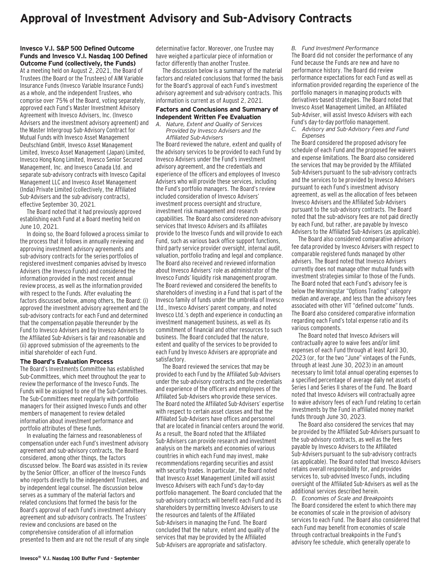### **Approval of Investment Advisory and Sub-Advisory Contracts**

#### **Invesco V.I. S&P 500 Defined Outcome Funds and Invesco V.I. Nasdaq 100 Defined Outcome Fund (collectively, the Funds)**

At a meeting held on August 2, 2021, the Board of Trustees (the Board or the Trustees) of AIM Variable Insurance Funds (Invesco Variable Insurance Funds) as a whole, and the independent Trustees, who comprise over 75% of the Board, voting separately, approved each Fund's Master Investment Advisory Agreement with Invesco Advisers, Inc. (Invesco Advisers and the investment advisory agreement) and the Master Intergroup Sub-Advisory Contract for Mutual Funds with Invesco Asset Management Deutschland GmbH, Invesco Asset Management Limited, Invesco Asset Management (Japan) Limited, Invesco Hong Kong Limited, Invesco Senior Secured Management, Inc. and Invesco Canada Ltd. and separate sub-advisory contracts with Invesco Capital Management LLC and Invesco Asset Management (India) Private Limited (collectively, the Affiliated Sub-Advisers and the sub-advisory contracts), effective September 30, 2021.

The Board noted that it had previously approved establishing each Fund at a Board meeting held on June 10, 2021.

In doing so, the Board followed a process similar to the process that it follows in annually reviewing and approving investment advisory agreements and sub-advisory contracts for the series portfolios of registered investment companies advised by Invesco Advisers (the Invesco Funds) and considered the information provided in the most recent annual review process, as well as the information provided with respect to the Funds. After evaluating the factors discussed below, among others, the Board: (i) approved the investment advisory agreement and the sub-advisory contracts for each Fund and determined that the compensation payable thereunder by the Fund to Invesco Advisers and by Invesco Advisers to the Affiliated Sub-Advisers is fair and reasonable and (ii) approved submission of the agreements to the initial shareholder of each Fund.

#### **The Board's Evaluation Process**

The Board's Investments Committee has established Sub-Committees, which meet throughout the year to review the performance of the Invesco Funds. The Funds will be assigned to one of the Sub-Committees. The Sub-Committees meet regularly with portfolio managers for their assigned Invesco Funds and other members of management to review detailed information about investment performance and portfolio attributes of these funds.

In evaluating the fairness and reasonableness of compensation under each Fund's investment advisory agreement and sub-advisory contracts, the Board considered, among other things, the factors discussed below. The Board was assisted in its review by the Senior Officer, an officer of the Invesco Funds who reports directly to the independent Trustees, and by independent legal counsel. The discussion below serves as a summary of the material factors and related conclusions that formed the basis for the Board's approval of each Fund's investment advisory agreement and sub-advisory contracts. The Trustees' review and conclusions are based on the comprehensive consideration of all information presented to them and are not the result of any single determinative factor. Moreover, one Trustee may have weighed a particular piece of information or factor differently than another Trustee.

The discussion below is a summary of the material factors and related conclusions that formed the basis for the Board's approval of each Fund's investment advisory agreement and sub-advisory contracts. This information is current as of August 2, 2021.

#### **Factors and Conclusions and Summary of Independent Written Fee Evaluation**

*A. Nature, Extent and Quality of Services Provided by Invesco Advisers and the Affiliated Sub-Advisers*

The Board reviewed the nature, extent and quality of the advisory services to be provided to each Fund by Invesco Advisers under the Fund's investment advisory agreement, and the credentials and experience of the officers and employees of Invesco Advisers who will provide these services, including the Fund's portfolio managers. The Board's review included consideration of Invesco Advisers' investment process oversight and structure, investment risk management and research capabilities. The Board also considered non-advisory services that Invesco Advisers and its affiliates provide to the Invesco Funds and will provide to each Fund, such as various back office support functions, third party service provider oversight, internal audit, valuation, portfolio trading and legal and compliance. The Board also received and reviewed information about Invesco Advisers' role as administrator of the Invesco Funds' liquidity risk management program. The Board reviewed and considered the benefits to shareholders of investing in a Fund that is part of the Invesco family of funds under the umbrella of Invesco Ltd., Invesco Advisers' parent company, and noted Invesco Ltd.'s depth and experience in conducting an investment management business, as well as its commitment of financial and other resources to such business. The Board concluded that the nature, extent and quality of the services to be provided to each Fund by Invesco Advisers are appropriate and satisfactory.

The Board reviewed the services that may be provided to each Fund by the Affiliated Sub-Advisers under the sub-advisory contracts and the credentials and experience of the officers and employees of the Affiliated Sub-Advisers who provide these services. The Board noted the Affiliated Sub-Advisers' expertise with respect to certain asset classes and that the Affiliated Sub-Advisers have offices and personnel that are located in financial centers around the world. As a result, the Board noted that the Affiliated Sub-Advisers can provide research and investment analysis on the markets and economies of various countries in which each Fund may invest, make recommendations regarding securities and assist with security trades. In particular, the Board noted that Invesco Asset Management Limited will assist Invesco Advisers with each Fund's day-to-day portfolio management. The Board concluded that the sub-advisory contracts will benefit each Fund and its shareholders by permitting Invesco Advisers to use the resources and talents of the Affiliated Sub-Advisers in managing the Fund. The Board concluded that the nature, extent and quality of the services that may be provided by the Affiliated Sub-Advisers are appropriate and satisfactory.

*B. Fund Investment Performance*

The Board did not consider the performance of any Fund because the Funds are new and have no performance history. The Board did review performance expectations for each Fund as well as information provided regarding the experience of the portfolio managers in managing products with derivatives-based strategies. The Board noted that Invesco Asset Management Limited, an Affiliated Sub-Adviser, will assist Invesco Advisers with each Fund's day-to-day portfolio management.

*C. Advisory and Sub-Advisory Fees and Fund Expenses*

The Board considered the proposed advisory fee schedule of each Fund and the proposed fee waivers and expense limitations. The Board also considered the services that may be provided by the Affiliated Sub-Advisers pursuant to the sub-advisory contracts and the services to be provided by Invesco Advisers pursuant to each Fund's investment advisory agreement, as well as the allocation of fees between Invesco Advisers and the Affiliated Sub-Advisers pursuant to the sub-advisory contracts. The Board noted that the sub-advisory fees are not paid directly by each Fund, but rather, are payable by Invesco Advisers to the Affiliated Sub-Advisers (as applicable).

The Board also considered comparative advisory fee data provided by Invesco Advisers with respect to comparable registered funds managed by other advisers. The Board noted that Invesco Advisers currently does not manage other mutual funds with investment strategies similar to those of the Funds. The Board noted that each Fund's advisory fee is below the Morningstar "Options Trading" category median and average, and less than the advisory fees associated with other VIT "defined outcome" funds. The Board also considered comparative information regarding each Fund's total expense ratio and its various components.

The Board noted that Invesco Advisers will contractually agree to waive fees and/or limit expenses of each Fund through at least April 30, 2023 (or, for the two "June" vintages of the Funds, through at least June 30, 2023) in an amount necessary to limit total annual operating expenses to a specified percentage of average daily net assets of Series I and Series II shares of the Fund. The Board noted that Invesco Advisers will contractually agree to waive advisory fees of each Fund relating to certain investments by the Fund in affiliated money market funds through June 30, 2023.

The Board also considered the services that may be provided by the Affiliated Sub-Advisers pursuant to the sub-advisory contracts, as well as the fees payable by Invesco Advisers to the Affiliated Sub-Advisers pursuant to the sub-advisory contracts (as applicable). The Board noted that Invesco Advisers retains overall responsibility for, and provides services to, sub-advised Invesco Funds, including oversight of the Affiliated Sub-Advisers as well as the additional services described herein.

*D. Economies of Scale and Breakpoints* The Board considered the extent to which there may be economies of scale in the provision of advisory services to each Fund. The Board also considered that each Fund may benefit from economies of scale through contractual breakpoints in the Fund's advisory fee schedule, which generally operate to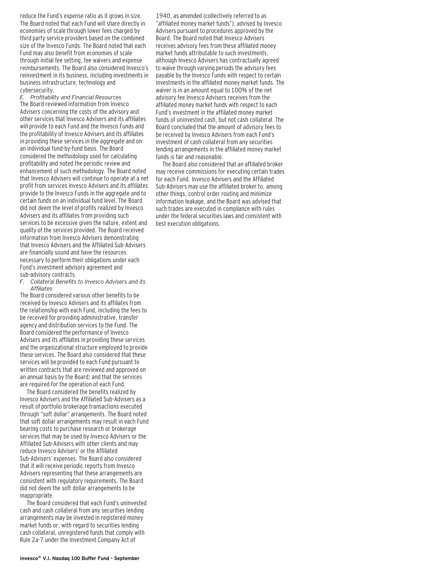reduce the Fund's expense ratio as it grows in size. The Board noted that each Fund will share directly in economies of scale through lower fees charged by third party service providers based on the combined size of the Invesco Funds. The Board noted that each Fund may also benefit from economies of scale through initial fee setting, fee waivers and expense reimbursements. The Board also considered Invesco's reinvestment in its business, including investments in business infrastructure, technology and cybersecurity.

*E. Profitability and Financial Resources* The Board reviewed information from Invesco Advisers concerning the costs of the advisory and other services that Invesco Advisers and its affiliates will provide to each Fund and the Invesco Funds and the profitability of Invesco Advisers and its affiliates in providing these services in the aggregate and on an individual fund-by-fund basis. The Board considered the methodology used for calculating profitability and noted the periodic review and enhancement of such methodology. The Board noted that Invesco Advisers will continue to operate at a net profit from services Invesco Advisers and its affiliates provide to the Invesco Funds in the aggregate and to certain funds on an individual fund level. The Board did not deem the level of profits realized by Invesco Advisers and its affiliates from providing such services to be excessive given the nature, extent and quality of the services provided. The Board received information from Invesco Advisers demonstrating that Invesco Advisers and the Affiliated Sub-Advisers are financially sound and have the resources necessary to perform their obligations under each Fund's investment advisory agreement and sub-advisory contracts.

*F. Collateral Benefits to Invesco Advisers and its Affiliates*

The Board considered various other benefits to be received by Invesco Advisers and its affiliates from the relationship with each Fund, including the fees to be received for providing administrative, transfer agency and distribution services to the Fund. The Board considered the performance of Invesco Advisers and its affiliates in providing these services and the organizational structure employed to provide these services. The Board also considered that these services will be provided to each Fund pursuant to written contracts that are reviewed and approved on an annual basis by the Board; and that the services are required for the operation of each Fund.

The Board considered the benefits realized by Invesco Advisers and the Affiliated Sub-Advisers as a result of portfolio brokerage transactions executed through "soft dollar" arrangements. The Board noted that soft dollar arrangements may result in each Fund bearing costs to purchase research or brokerage services that may be used by Invesco Advisers or the Affiliated Sub-Advisers with other clients and may reduce Invesco Advisers' or the Affiliated Sub-Advisers' expenses. The Board also considered that it will receive periodic reports from Invesco Advisers representing that these arrangements are consistent with regulatory requirements. The Board did not deem the soft dollar arrangements to be inappropriate.

The Board considered that each Fund's uninvested cash and cash collateral from any securities lending arrangements may be invested in registered money market funds or, with regard to securities lending cash collateral, unregistered funds that comply with Rule 2a-7 under the Investment Company Act of

1940, as amended (collectively referred to as "affiliated money market funds"), advised by Invesco Advisers pursuant to procedures approved by the Board. The Board noted that Invesco Advisers receives advisory fees from these affiliated money market funds attributable to such investments, although Invesco Advisers has contractually agreed to waive through varying periods the advisory fees payable by the Invesco Funds with respect to certain investments in the affiliated money market funds. The waiver is in an amount equal to 100% of the net advisory fee Invesco Advisers receives from the affiliated money market funds with respect to each Fund's investment in the affiliated money market funds of uninvested cash, but not cash collateral. The Board concluded that the amount of advisory fees to be received by Invesco Advisers from each Fund's investment of cash collateral from any securities lending arrangements in the affiliated money market funds is fair and reasonable.

The Board also considered that an affiliated broker may receive commissions for executing certain trades for each Fund. Invesco Advisers and the Affiliated Sub-Advisers may use the affiliated broker to, among other things, control order routing and minimize information leakage, and the Board was advised that such trades are executed in compliance with rules under the federal securities laws and consistent with best execution obligations.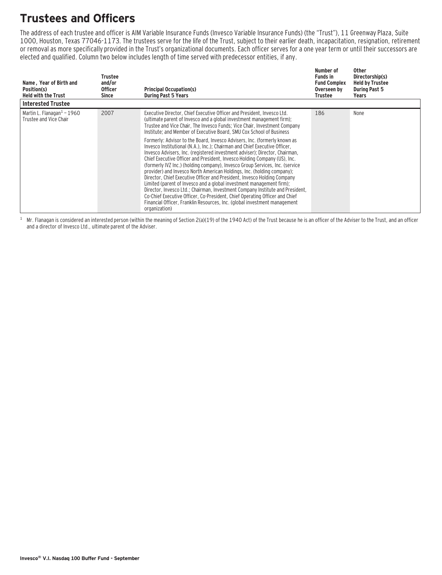## **Trustees and Officers**

The address of each trustee and officer is AIM Variable Insurance Funds (Invesco Variable Insurance Funds) (the "Trust"), 11 Greenway Plaza, Suite 1000, Houston, Texas 77046-1173. The trustees serve for the life of the Trust, subject to their earlier death, incapacitation, resignation, retirement or removal as more specifically provided in the Trust's organizational documents. Each officer serves for a one year term or until their successors are elected and qualified. Column two below includes length of time served with predecessor entities, if any.

| Name, Year of Birth and<br>Position(s)<br><b>Held with the Trust</b> | Trustee<br>and/or<br><b>Officer</b><br>Since | <b>Principal Occupation(s)</b><br><b>During Past 5 Years</b>                                                                                                                                                                                                                                                                                                                                                                                                                                                                                                                                                                                                                                                                                                                                                                                                                                                                                                                                                                                                                                                                                                                                             | Number of<br><b>Funds in</b><br><b>Fund Complex</b><br>Overseen by<br>Trustee | Other<br>Directorship(s)<br><b>Held by Trustee</b><br><b>During Past 5</b><br>Years |
|----------------------------------------------------------------------|----------------------------------------------|----------------------------------------------------------------------------------------------------------------------------------------------------------------------------------------------------------------------------------------------------------------------------------------------------------------------------------------------------------------------------------------------------------------------------------------------------------------------------------------------------------------------------------------------------------------------------------------------------------------------------------------------------------------------------------------------------------------------------------------------------------------------------------------------------------------------------------------------------------------------------------------------------------------------------------------------------------------------------------------------------------------------------------------------------------------------------------------------------------------------------------------------------------------------------------------------------------|-------------------------------------------------------------------------------|-------------------------------------------------------------------------------------|
| <b>Interested Trustee</b>                                            |                                              |                                                                                                                                                                                                                                                                                                                                                                                                                                                                                                                                                                                                                                                                                                                                                                                                                                                                                                                                                                                                                                                                                                                                                                                                          |                                                                               |                                                                                     |
| Martin L. Flanagan $1$ – 1960<br>Trustee and Vice Chair              | 2007                                         | Executive Director, Chief Executive Officer and President, Invesco Ltd.<br>(ultimate parent of Invesco and a global investment management firm);<br>Trustee and Vice Chair, The Invesco Funds; Vice Chair, Investment Company<br>Institute; and Member of Executive Board, SMU Cox School of Business<br>Formerly: Advisor to the Board, Invesco Advisers, Inc. (formerly known as<br>Invesco Institutional (N.A.), Inc.): Chairman and Chief Executive Officer.<br>Invesco Advisers, Inc. (registered investment adviser); Director, Chairman,<br>Chief Executive Officer and President, Invesco Holding Company (US), Inc.<br>(formerly IVZ Inc.) (holding company), Invesco Group Services, Inc. (service<br>provider) and Invesco North American Holdings, Inc. (holding company);<br>Director, Chief Executive Officer and President, Invesco Holding Company<br>Limited (parent of Invesco and a global investment management firm);<br>Director, Invesco Ltd.; Chairman, Investment Company Institute and President,<br>Co-Chief Executive Officer, Co-President, Chief Operating Officer and Chief<br>Financial Officer, Franklin Resources, Inc. (global investment management<br>organization) | 186                                                                           | None                                                                                |

 $1$  Mr. Flanagan is considered an interested person (within the meaning of Section 2(a)(19) of the 1940 Act) of the Trust because he is an officer of the Adviser to the Trust, and an officer and a director of Invesco Ltd., ultimate parent of the Adviser.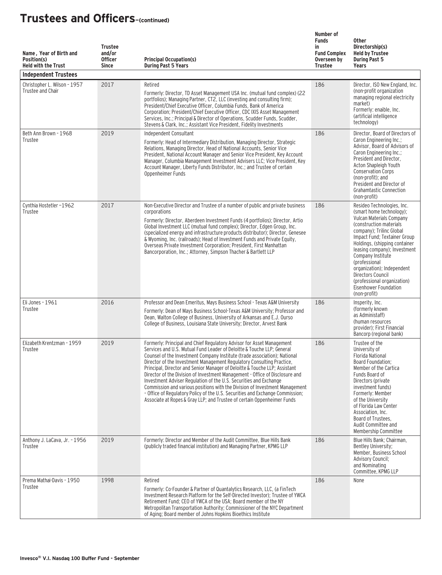| Name, Year of Birth and<br>Position(s)<br><b>Held with the Trust</b><br><b>Independent Trustees</b> | <b>Trustee</b><br>and/or<br><b>Officer</b><br><b>Since</b> | <b>Principal Occupation(s)</b><br><b>During Past 5 Years</b>                                                                                                                                                                                                                                                                                                                                                                                                                                                                                                                                                                                                                                                                                                                        | Number of<br><b>Funds</b><br>in<br><b>Fund Complex</b><br>Overseen by<br><b>Trustee</b> | <b>Other</b><br>Directorship(s)<br><b>Held by Trustee</b><br><b>During Past 5</b><br>Years                                                                                                                                                                                                                                                                                                                   |
|-----------------------------------------------------------------------------------------------------|------------------------------------------------------------|-------------------------------------------------------------------------------------------------------------------------------------------------------------------------------------------------------------------------------------------------------------------------------------------------------------------------------------------------------------------------------------------------------------------------------------------------------------------------------------------------------------------------------------------------------------------------------------------------------------------------------------------------------------------------------------------------------------------------------------------------------------------------------------|-----------------------------------------------------------------------------------------|--------------------------------------------------------------------------------------------------------------------------------------------------------------------------------------------------------------------------------------------------------------------------------------------------------------------------------------------------------------------------------------------------------------|
| Christopher L. Wilson - 1957<br>Trustee and Chair                                                   | 2017                                                       | Retired<br>Formerly: Director, TD Asset Management USA Inc. (mutual fund complex) (22<br>portfolios); Managing Partner, CT2, LLC (investing and consulting firm);<br>President/Chief Executive Officer, Columbia Funds, Bank of America<br>Corporation; President/Chief Executive Officer, CDC IXIS Asset Management<br>Services, Inc.; Principal & Director of Operations, Scudder Funds, Scudder,<br>Stevens & Clark, Inc.; Assistant Vice President, Fidelity Investments                                                                                                                                                                                                                                                                                                        | 186                                                                                     | Director, ISO New England, Inc.<br>(non-profit organization<br>managing regional electricity<br>market)<br>Formerly: enaible, Inc.<br>(artificial intelligence<br>technology)                                                                                                                                                                                                                                |
| Beth Ann Brown - 1968<br>Trustee                                                                    | 2019                                                       | Independent Consultant<br>Formerly: Head of Intermediary Distribution, Managing Director, Strategic<br>Relations, Managing Director, Head of National Accounts, Senior Vice<br>President, National Account Manager and Senior Vice President, Key Account<br>Manager, Columbia Management Investment Advisers LLC; Vice President, Key<br>Account Manager, Liberty Funds Distributor, Inc.; and Trustee of certain<br>Oppenheimer Funds                                                                                                                                                                                                                                                                                                                                             | 186                                                                                     | Director, Board of Directors of<br>Caron Engineering Inc.;<br>Advisor, Board of Advisors of<br>Caron Engineering Inc.;<br>President and Director,<br>Acton Shapleigh Youth<br><b>Conservation Corps</b><br>(non-profit); and<br>President and Director of<br><b>Grahamtastic Connection</b><br>(non-profit)                                                                                                  |
| Cynthia Hostetler-1962<br>Trustee                                                                   | 2017                                                       | Non-Executive Director and Trustee of a number of public and private business<br>corporations<br>Formerly: Director, Aberdeen Investment Funds (4 portfolios); Director, Artio<br>Global Investment LLC (mutual fund complex); Director, Edgen Group, Inc.<br>(specialized energy and infrastructure products distributor); Director, Genesee<br>& Wyoming, Inc. (railroads); Head of Investment Funds and Private Equity,<br>Overseas Private Investment Corporation; President, First Manhattan<br>Bancorporation, Inc.; Attorney, Simpson Thacher & Bartlett LLP                                                                                                                                                                                                                 | 186                                                                                     | Resideo Technologies, Inc.<br>(smart home technology);<br>Vulcan Materials Company<br>(construction materials)<br>company); Trilinc Global<br>Impact Fund; Textainer Group<br>Holdings, (shipping container<br>leasing company); Investment<br>Company Institute<br>(professional<br>organization); Independent<br>Directors Council<br>(professional organization)<br>Eisenhower Foundation<br>(non-profit) |
| Eli Jones - 1961<br>Trustee                                                                         | 2016                                                       | Professor and Dean Emeritus, Mays Business School - Texas A&M University<br>Formerly: Dean of Mays Business School-Texas A&M University; Professor and<br>Dean, Walton College of Business, University of Arkansas and E.J. Ourso<br>College of Business, Louisiana State University; Director, Arvest Bank                                                                                                                                                                                                                                                                                                                                                                                                                                                                         | 186                                                                                     | Insperity, Inc.<br>(formerly known)<br>as Administaff)<br>(human resources<br>provider): First Financial<br>Bancorp (regional bank)                                                                                                                                                                                                                                                                          |
| Elizabeth Krentzman - 1959<br>Trustee                                                               | 2019                                                       | Formerly: Principal and Chief Regulatory Advisor for Asset Management<br>Services and U.S. Mutual Fund Leader of Deloitte & Touche LLP: General<br>Counsel of the Investment Company Institute (trade association); National<br>Director of the Investment Management Regulatory Consulting Practice,<br>Principal, Director and Senior Manager of Deloitte & Touche LLP; Assistant<br>Director of the Division of Investment Management - Office of Disclosure and<br>Investment Adviser Regulation of the U.S. Securities and Exchange<br>Commission and various positions with the Division of Investment Management<br>- Office of Regulatory Policy of the U.S. Securities and Exchange Commission;<br>Associate at Ropes & Gray LLP; and Trustee of certain Oppenheimer Funds | 186                                                                                     | Trustee of the<br>University of<br><b>Florida National</b><br>Board Foundation;<br>Member of the Cartica<br>Funds Board of<br>Directors (private<br>investment funds)<br>Formerly: Member<br>of the University<br>of Florida Law Center<br>Association, Inc.<br>Board of Trustees,<br>Audit Committee and<br>Membership Committee                                                                            |
| Anthony J. LaCava, Jr. - 1956<br>Trustee                                                            | 2019                                                       | Formerly: Director and Member of the Audit Committee, Blue Hills Bank<br>(publicly traded financial institution) and Managing Partner, KPMG LLP                                                                                                                                                                                                                                                                                                                                                                                                                                                                                                                                                                                                                                     | 186                                                                                     | Blue Hills Bank; Chairman,<br>Bentley University;<br>Member, Business School<br><b>Advisory Council;</b><br>and Nominating<br>Committee, KPMG LLP                                                                                                                                                                                                                                                            |
| Prema Mathai-Davis - 1950<br>Trustee                                                                | 1998                                                       | Retired<br>Formerly: Co-Founder & Partner of Quantalytics Research, LLC, (a FinTech<br>Investment Research Platform for the Self-Directed Investor); Trustee of YWCA<br>Retirement Fund; CEO of YWCA of the USA; Board member of the NY<br>Metropolitan Transportation Authority; Commissioner of the NYC Department<br>of Aging; Board member of Johns Hopkins Bioethics Institute                                                                                                                                                                                                                                                                                                                                                                                                 | 186                                                                                     | None                                                                                                                                                                                                                                                                                                                                                                                                         |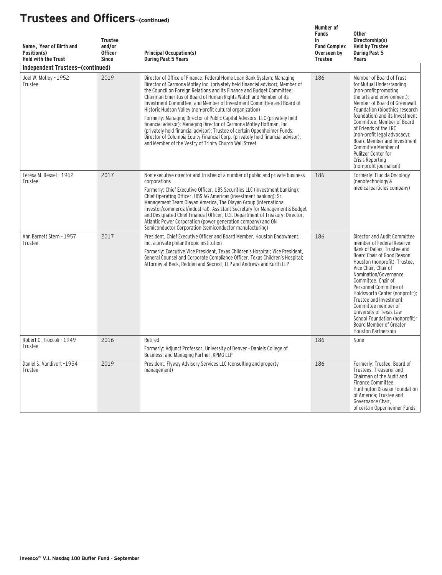| Name, Year of Birth and<br>Position(s)<br><b>Held with the Trust</b> | <b>Trustee</b><br>and/or<br><b>Officer</b><br><b>Since</b> | <b>Principal Occupation(s)</b><br><b>During Past 5 Years</b>                                                                                                                                                                                                                                                                                                                                                                                                                                                                                                                                                                                                                                                                                                                                                                    | Number of<br><b>Funds</b><br>in<br><b>Fund Complex</b><br>Overseen by<br><b>Trustee</b> | <b>Other</b><br>Directorship(s)<br><b>Held by Trustee</b><br><b>During Past 5</b><br><b>Years</b>                                                                                                                                                                                                                                                                                                                                                           |
|----------------------------------------------------------------------|------------------------------------------------------------|---------------------------------------------------------------------------------------------------------------------------------------------------------------------------------------------------------------------------------------------------------------------------------------------------------------------------------------------------------------------------------------------------------------------------------------------------------------------------------------------------------------------------------------------------------------------------------------------------------------------------------------------------------------------------------------------------------------------------------------------------------------------------------------------------------------------------------|-----------------------------------------------------------------------------------------|-------------------------------------------------------------------------------------------------------------------------------------------------------------------------------------------------------------------------------------------------------------------------------------------------------------------------------------------------------------------------------------------------------------------------------------------------------------|
| Independent Trustees-(continued)                                     |                                                            |                                                                                                                                                                                                                                                                                                                                                                                                                                                                                                                                                                                                                                                                                                                                                                                                                                 |                                                                                         |                                                                                                                                                                                                                                                                                                                                                                                                                                                             |
| Joel W. Motley - 1952<br>Trustee                                     | 2019                                                       | Director of Office of Finance, Federal Home Loan Bank System; Managing<br>Director of Carmona Motley Inc. (privately held financial advisor); Member of<br>the Council on Foreign Relations and its Finance and Budget Committee;<br>Chairman Emeritus of Board of Human Rights Watch and Member of its<br>Investment Committee; and Member of Investment Committee and Board of<br>Historic Hudson Valley (non-profit cultural organization)<br>Formerly: Managing Director of Public Capital Advisors, LLC (privately held<br>financial advisor); Managing Director of Carmona Motley Hoffman, Inc.<br>(privately held financial advisor); Trustee of certain Oppenheimer Funds;<br>Director of Columbia Equity Financial Corp. (privately held financial advisor);<br>and Member of the Vestry of Trinity Church Wall Street | 186                                                                                     | Member of Board of Trust<br>for Mutual Understanding<br>(non-profit promoting<br>the arts and environment);<br>Member of Board of Greenwall<br>Foundation (bioethics research<br>foundation) and its Investment<br>Committee: Member of Board<br>of Friends of the LRC<br>(non-profit legal advocacy);<br>Board Member and Investment<br>Committee Member of<br>Pulitzer Center for<br>Crisis Reporting<br>(non-profit journalism)                          |
| Teresa M. Ressel - 1962<br>Trustee                                   | 2017                                                       | Non-executive director and trustee of a number of public and private business<br>corporations<br>Formerly: Chief Executive Officer, UBS Securities LLC (investment banking);<br>Chief Operating Officer, UBS AG Americas (investment banking); Sr.<br>Management Team Olayan America, The Olayan Group (international<br>investor/commercial/industrial); Assistant Secretary for Management & Budget<br>and Designated Chief Financial Officer, U.S. Department of Treasury; Director,<br>Atlantic Power Corporation (power generation company) and ON<br>Semiconductor Corporation (semiconductor manufacturing)                                                                                                                                                                                                              | 186                                                                                     | Formerly: Elucida Oncology<br>(nanotechnology &<br>medical particles company)                                                                                                                                                                                                                                                                                                                                                                               |
| Ann Barnett Stern - 1957<br>Trustee                                  | 2017                                                       | President, Chief Executive Officer and Board Member, Houston Endowment,<br>Inc. a private philanthropic institution<br>Formerly: Executive Vice President, Texas Children's Hospital; Vice President,<br>General Counsel and Corporate Compliance Officer, Texas Children's Hospital;<br>Attorney at Beck, Redden and Secrest, LLP and Andrews and Kurth LLP                                                                                                                                                                                                                                                                                                                                                                                                                                                                    | 186                                                                                     | Director and Audit Committee<br>member of Federal Reserve<br>Bank of Dallas; Trustee and<br>Board Chair of Good Reason<br>Houston (nonprofit); Trustee,<br>Vice Chair, Chair of<br>Nomination/Governance<br>Committee, Chair of<br>Personnel Committee of<br>Holdsworth Center (nonprofit);<br>Trustee and Investment<br>Committee member of<br>University of Texas Law<br>School Foundation (nonprofit):<br>Board Member of Greater<br>Houston Partnership |
| Robert C. Troccoli - 1949<br>Trustee                                 | 2016                                                       | Retired<br>Formerly: Adjunct Professor, University of Denver - Daniels College of<br>Business; and Managing Partner, KPMG LLP                                                                                                                                                                                                                                                                                                                                                                                                                                                                                                                                                                                                                                                                                                   | 186                                                                                     | None                                                                                                                                                                                                                                                                                                                                                                                                                                                        |
| Daniel S. Vandivort -1954<br>Trustee                                 | 2019                                                       | President, Flyway Advisory Services LLC (consulting and property<br>management)                                                                                                                                                                                                                                                                                                                                                                                                                                                                                                                                                                                                                                                                                                                                                 | 186                                                                                     | Formerly: Trustee, Board of<br>Trustees, Treasurer and<br>Chairman of the Audit and<br>Finance Committee,<br>Huntington Disease Foundation<br>of America; Trustee and<br>Governance Chair,<br>of certain Oppenheimer Funds                                                                                                                                                                                                                                  |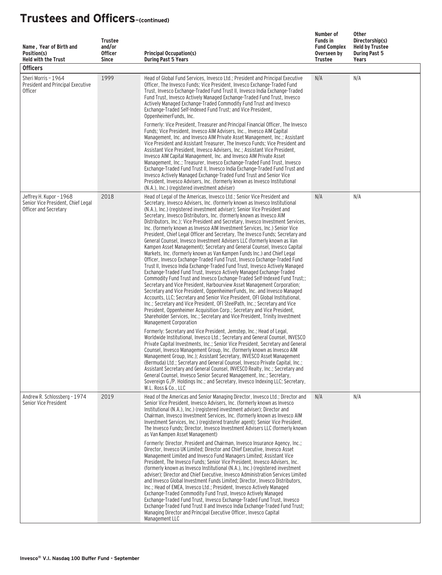| Name, Year of Birth and<br>Position(s)<br><b>Held with the Trust</b><br><b>Officers</b> | <b>Trustee</b><br>and/or<br><b>Officer</b><br><b>Since</b> | <b>Principal Occupation(s)</b><br><b>During Past 5 Years</b>                                                                                                                                                                                                                                                                                                                                                                                                                                                                                                                                                                                                                                                                                                                                                                                                                                                                                                                                                                                                                                                                                                                                                                                                                                                                                                                                                                                                                                                                                                                                                                 | Number of<br><b>Funds in</b><br><b>Fund Complex</b><br>Overseen by<br><b>Trustee</b> | Other<br>Directorship(s)<br><b>Held by Trustee</b><br><b>During Past 5</b><br>Years |
|-----------------------------------------------------------------------------------------|------------------------------------------------------------|------------------------------------------------------------------------------------------------------------------------------------------------------------------------------------------------------------------------------------------------------------------------------------------------------------------------------------------------------------------------------------------------------------------------------------------------------------------------------------------------------------------------------------------------------------------------------------------------------------------------------------------------------------------------------------------------------------------------------------------------------------------------------------------------------------------------------------------------------------------------------------------------------------------------------------------------------------------------------------------------------------------------------------------------------------------------------------------------------------------------------------------------------------------------------------------------------------------------------------------------------------------------------------------------------------------------------------------------------------------------------------------------------------------------------------------------------------------------------------------------------------------------------------------------------------------------------------------------------------------------------|--------------------------------------------------------------------------------------|-------------------------------------------------------------------------------------|
| Sheri Morris - 1964<br>President and Principal Executive<br><b>Officer</b>              | 1999                                                       | Head of Global Fund Services, Invesco Ltd.; President and Principal Executive<br>Officer, The Invesco Funds; Vice President, Invesco Exchange-Traded Fund<br>Trust, Invesco Exchange-Traded Fund Trust II, Invesco India Exchange-Traded<br>Fund Trust, Invesco Actively Managed Exchange-Traded Fund Trust, Invesco<br>Actively Managed Exchange-Traded Commodity Fund Trust and Invesco<br>Exchange-Traded Self-Indexed Fund Trust; and Vice President,<br>OppenheimerFunds, Inc.<br>Formerly: Vice President, Treasurer and Principal Financial Officer, The Invesco<br>Funds; Vice President, Invesco AIM Advisers, Inc., Invesco AIM Capital<br>Management, Inc. and Invesco AIM Private Asset Management, Inc.; Assistant<br>Vice President and Assistant Treasurer, The Invesco Funds; Vice President and<br>Assistant Vice President, Invesco Advisers, Inc.; Assistant Vice President,<br>Invesco AIM Capital Management, Inc. and Invesco AIM Private Asset<br>Management, Inc.; Treasurer, Invesco Exchange-Traded Fund Trust, Invesco<br>Exchange-Traded Fund Trust II, Invesco India Exchange-Traded Fund Trust and<br>Invesco Actively Managed Exchange-Traded Fund Trust and Senior Vice<br>President, Invesco Advisers, Inc. (formerly known as Invesco Institutional<br>(N.A.), Inc.) (registered investment adviser)                                                                                                                                                                                                                                                                                       | N/A                                                                                  | N/A                                                                                 |
| Jeffrey H. Kupor - 1968<br>Senior Vice President, Chief Legal<br>Officer and Secretary  | 2018                                                       | Head of Legal of the Americas, Invesco Ltd.; Senior Vice President and<br>Secretary, Invesco Advisers, Inc. (formerly known as Invesco Institutional<br>(N.A.), Inc.) (registered investment adviser); Senior Vice President and<br>Secretary, Invesco Distributors, Inc. (formerly known as Invesco AIM<br>Distributors, Inc.); Vice President and Secretary, Invesco Investment Services,<br>Inc. (formerly known as Invesco AIM Investment Services, Inc.) Senior Vice<br>President, Chief Legal Officer and Secretary, The Invesco Funds; Secretary and<br>General Counsel, Invesco Investment Advisers LLC (formerly known as Van<br>Kampen Asset Management); Secretary and General Counsel, Invesco Capital<br>Markets, Inc. (formerly known as Van Kampen Funds Inc.) and Chief Legal<br>Officer, Invesco Exchange-Traded Fund Trust, Invesco Exchange-Traded Fund<br>Trust II, Invesco India Exchange-Traded Fund Trust, Invesco Actively Managed<br>Exchange-Traded Fund Trust, Invesco Actively Managed Exchange-Traded<br>Commodity Fund Trust and Invesco Exchange-Traded Self-Indexed Fund Trust;;<br>Secretary and Vice President, Harbourview Asset Management Corporation;<br>Secretary and Vice President, OppenheimerFunds, Inc. and Invesco Managed<br>Accounts, LLC; Secretary and Senior Vice President, OFI Global Institutional,<br>Inc.; Secretary and Vice President, OFI SteelPath, Inc.; Secretary and Vice<br>President, Oppenheimer Acquisition Corp.; Secretary and Vice President,<br>Shareholder Services, Inc.; Secretary and Vice President, Trinity Investment<br>Management Corporation | N/A                                                                                  | N/A                                                                                 |
|                                                                                         |                                                            | Formerly: Secretary and Vice President, Jemstep, Inc.; Head of Legal,<br>Worldwide Institutional, Invesco Ltd.; Secretary and General Counsel, INVESCO<br>Private Capital Investments, Inc.; Senior Vice President, Secretary and General<br>Counsel, Invesco Management Group, Inc. (formerly known as Invesco AIM<br>Management Group, Inc.); Assistant Secretary, INVESCO Asset Management<br>(Bermuda) Ltd.; Secretary and General Counsel, Invesco Private Capital, Inc.;<br>Assistant Secretary and General Counsel, INVESCO Realty, Inc.; Secretary and<br>General Counsel, Invesco Senior Secured Management, Inc.; Secretary,<br>Sovereign G./P. Holdings Inc.; and Secretary, Invesco Indexing LLC; Secretary,<br>W.L. Ross & Co., LLC                                                                                                                                                                                                                                                                                                                                                                                                                                                                                                                                                                                                                                                                                                                                                                                                                                                                             |                                                                                      |                                                                                     |
| Andrew R. Schlossberg - 1974<br>Senior Vice President                                   | 2019                                                       | Head of the Americas and Senior Managing Director, Invesco Ltd.; Director and<br>Senior Vice President, Invesco Advisers, Inc. (formerly known as Invesco<br>Institutional (N.A.), Inc.) (registered investment adviser); Director and<br>Chairman, Invesco Investment Services, Inc. (formerly known as Invesco AIM<br>Investment Services, Inc.) (registered transfer agent); Senior Vice President,<br>The Invesco Funds; Director, Invesco Investment Advisers LLC (formerly known<br>as Van Kampen Asset Management)<br>Formerly: Director, President and Chairman, Invesco Insurance Agency, Inc.:<br>Director, Invesco UK Limited; Director and Chief Executive, Invesco Asset<br>Management Limited and Invesco Fund Managers Limited; Assistant Vice<br>President, The Invesco Funds; Senior Vice President, Invesco Advisers, Inc.<br>(formerly known as Invesco Institutional (N.A.), Inc.) (registered investment<br>adviser); Director and Chief Executive, Invesco Administration Services Limited<br>and Invesco Global Investment Funds Limited: Director, Invesco Distributors,<br>Inc.; Head of EMEA, Invesco Ltd.; President, Invesco Actively Managed<br>Exchange-Traded Commodity Fund Trust, Invesco Actively Managed<br>Exchange-Traded Fund Trust, Invesco Exchange-Traded Fund Trust, Invesco<br>Exchange-Traded Fund Trust II and Invesco India Exchange-Traded Fund Trust;<br>Managing Director and Principal Executive Officer, Invesco Capital<br>Management LLC                                                                                                                                | N/A                                                                                  | N/A                                                                                 |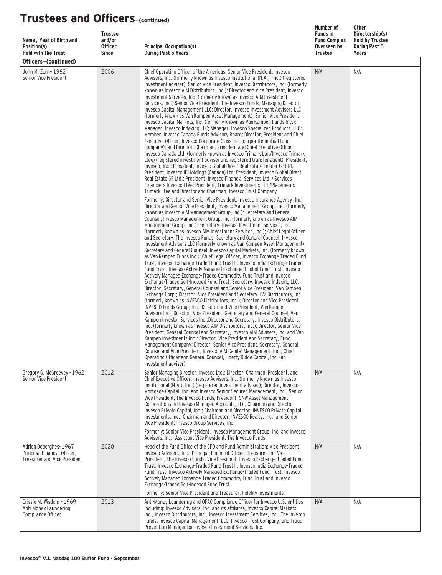| Name, Year of Birth and<br>Position(s)<br><b>Held with the Trust</b>                         | <b>Trustee</b><br>and/or<br><b>Officer</b><br><b>Since</b> | <b>Principal Occupation(s)</b><br><b>During Past 5 Years</b>                                                                                                                                                                                                                                                                                                                                                                                                                                                                                                                                                                                                                                                                                                                                                                                                                                                                                                                                                                                                                                                                                                                                                                                                                                                                                                                                                                                                                                                                                                                                                                                                                                                                                                                                                                                                                                                                                                                                                                                                                                          | Number of<br><b>Funds in</b><br><b>Fund Complex</b><br>Overseen by<br><b>Trustee</b> | <b>Other</b><br>Directorship(s)<br><b>Held by Trustee</b><br><b>During Past 5</b><br>Years |  |  |  |
|----------------------------------------------------------------------------------------------|------------------------------------------------------------|-------------------------------------------------------------------------------------------------------------------------------------------------------------------------------------------------------------------------------------------------------------------------------------------------------------------------------------------------------------------------------------------------------------------------------------------------------------------------------------------------------------------------------------------------------------------------------------------------------------------------------------------------------------------------------------------------------------------------------------------------------------------------------------------------------------------------------------------------------------------------------------------------------------------------------------------------------------------------------------------------------------------------------------------------------------------------------------------------------------------------------------------------------------------------------------------------------------------------------------------------------------------------------------------------------------------------------------------------------------------------------------------------------------------------------------------------------------------------------------------------------------------------------------------------------------------------------------------------------------------------------------------------------------------------------------------------------------------------------------------------------------------------------------------------------------------------------------------------------------------------------------------------------------------------------------------------------------------------------------------------------------------------------------------------------------------------------------------------------|--------------------------------------------------------------------------------------|--------------------------------------------------------------------------------------------|--|--|--|
| Officers-(continued)                                                                         |                                                            |                                                                                                                                                                                                                                                                                                                                                                                                                                                                                                                                                                                                                                                                                                                                                                                                                                                                                                                                                                                                                                                                                                                                                                                                                                                                                                                                                                                                                                                                                                                                                                                                                                                                                                                                                                                                                                                                                                                                                                                                                                                                                                       |                                                                                      |                                                                                            |  |  |  |
| John M. Zerr - 1962<br>Senior Vice President                                                 | 2006                                                       | Chief Operating Officer of the Americas; Senior Vice President, Invesco<br>Advisers, Inc. (formerly known as Invesco Institutional (N.A.), Inc.) (registered<br>investment adviser); Senior Vice President, Invesco Distributors, Inc. (formerly<br>known as Invesco AIM Distributors, Inc.); Director and Vice President, Invesco<br>Investment Services, Inc. (formerly known as Invesco AIM Investment<br>Services, Inc.) Senior Vice President, The Invesco Funds; Managing Director,<br>Invesco Capital Management LLC; Director, Invesco Investment Advisers LLC<br>(formerly known as Van Kampen Asset Management); Senior Vice President,<br>Invesco Capital Markets, Inc. (formerly known as Van Kampen Funds Inc.);<br>Manager, Invesco Indexing LLC; Manager, Invesco Specialized Products, LLC;<br>Member, Invesco Canada Funds Advisory Board; Director, President and Chief<br>Executive Officer, Invesco Corporate Class Inc. (corporate mutual fund<br>company); and Director, Chairman, President and Chief Executive Officer,<br>Invesco Canada Ltd. (formerly known as Invesco Trimark Ltd./Invesco Trimark<br>Ltèe) (registered investment adviser and registered transfer agent); President,<br>Invesco, Inc.; President, Invesco Global Direct Real Estate Feeder GP Ltd.;<br>President, Invesco IP Holdings (Canada) Ltd: President, Invesco Global Direct<br>Real Estate GP Ltd.; President, Invesco Financial Services Ltd. / Services<br>Financiers Invesco Ltée: President, Trimark Investments Ltd./Placements<br>Trimark Ltée and Director and Chairman, Invesco Trust Company                                                                                                                                                                                                                                                                                                                                                                                                                                                                                           | N/A                                                                                  | N/A                                                                                        |  |  |  |
|                                                                                              |                                                            | Formerly: Director and Senior Vice President, Invesco Insurance Agency, Inc.;<br>Director and Senior Vice President, Invesco Management Group, Inc. (formerly<br>known as Invesco AIM Management Group, Inc.); Secretary and General<br>Counsel, Invesco Management Group, Inc. (formerly known as Invesco AIM<br>Management Group, Inc.); Secretary, Invesco Investment Services, Inc.<br>(formerly known as Invesco AIM Investment Services, Inc.); Chief Legal Officer<br>and Secretary, The Invesco Funds; Secretary and General Counsel, Invesco<br>Investment Advisers LLC (formerly known as Van Kampen Asset Management);<br>Secretary and General Counsel, Invesco Capital Markets, Inc. (formerly known<br>as Van Kampen Funds Inc.); Chief Legal Officer, Invesco Exchange-Traded Fund<br>Trust, Invesco Exchange-Traded Fund Trust II, Invesco India Exchange-Traded<br>Fund Trust, Invesco Actively Managed Exchange-Traded Fund Trust, Invesco<br>Actively Managed Exchange-Traded Commodity Fund Trust and Invesco<br>Exchange-Traded Self-Indexed Fund Trust; Secretary, Invesco Indexing LLC;<br>Director, Secretary, General Counsel and Senior Vice President, Van Kampen<br>Exchange Corp.; Director, Vice President and Secretary, IVZ Distributors, Inc.<br>(formerly known as INVESCO Distributors, Inc.); Director and Vice President,<br>INVESCO Funds Group, Inc.; Director and Vice President, Van Kampen<br>Advisors Inc.; Director, Vice President, Secretary and General Counsel, Van<br>Kampen Investor Services Inc.: Director and Secretary, Invesco Distributors.<br>Inc. (formerly known as Invesco AIM Distributors, Inc.); Director, Senior Vice<br>President, General Counsel and Secretary, Invesco AIM Advisers, Inc. and Van<br>Kampen Investments Inc.; Director, Vice President and Secretary, Fund<br>Management Company; Director, Senior Vice President, Secretary, General<br>Counsel and Vice President, Invesco AIM Capital Management, Inc.; Chief<br>Operating Officer and General Counsel, Liberty Ridge Capital, Inc. (an<br>investment adviser) |                                                                                      |                                                                                            |  |  |  |
| Gregory G. McGreevey - 1962<br>Senior Vice President                                         | 2012                                                       | Senior Managing Director, Invesco Ltd.; Director, Chairman, President, and<br>Chief Executive Officer, Invesco Advisers, Inc. (formerly known as Invesco<br>Institutional (N.A.), Inc.) (registered investment adviser); Director, Invesco<br>Mortgage Capital, Inc. and Invesco Senior Secured Management, Inc.; Senior<br>Vice President, The Invesco Funds; President, SNW Asset Management<br>Corporation and Invesco Managed Accounts, LLC; Chairman and Director,<br>Invesco Private Capital, Inc.; Chairman and Director, INVESCO Private Capital<br>Investments, Inc.; Chairman and Director, INVESCO Realty, Inc.; and Senior<br>Vice President, Invesco Group Services, Inc.<br>Formerly: Senior Vice President, Invesco Management Group, Inc. and Invesco                                                                                                                                                                                                                                                                                                                                                                                                                                                                                                                                                                                                                                                                                                                                                                                                                                                                                                                                                                                                                                                                                                                                                                                                                                                                                                                                 | N/A                                                                                  | N/A                                                                                        |  |  |  |
| Adrien Deberghes-1967<br>Principal Financial Officer,<br><b>Treasurer and Vice President</b> | 2020                                                       | Advisers, Inc.; Assistant Vice President, The Invesco Funds<br>Head of the Fund Office of the CFO and Fund Administration; Vice President,<br>Invesco Advisers, Inc.; Principal Financial Officer, Treasurer and Vice<br>President, The Invesco Funds; Vice President, Invesco Exchange-Traded Fund<br>Trust, Invesco Exchange-Traded Fund Trust II, Invesco India Exchange-Traded<br>Fund Trust, Invesco Actively Managed Exchange-Traded Fund Trust, Invesco<br>Actively Managed Exchange-Traded Commodity Fund Trust and Invesco<br>Exchange-Traded Self-Indexed Fund Trust<br>Formerly: Senior Vice President and Treasurer, Fidelity Investments                                                                                                                                                                                                                                                                                                                                                                                                                                                                                                                                                                                                                                                                                                                                                                                                                                                                                                                                                                                                                                                                                                                                                                                                                                                                                                                                                                                                                                                 | N/A                                                                                  | N/A                                                                                        |  |  |  |
| Crissie M. Wisdom - 1969<br>Anti-Money Laundering<br>Compliance Officer                      | 2013                                                       | Anti-Money Laundering and OFAC Compliance Officer for Invesco U.S. entities<br>including: Invesco Advisers, Inc. and its affiliates, Invesco Capital Markets,<br>Inc., Invesco Distributors, Inc., Invesco Investment Services, Inc., The Invesco<br>Funds, Invesco Capital Management, LLC, Invesco Trust Company; and Fraud<br>Prevention Manager for Invesco Investment Services, Inc.                                                                                                                                                                                                                                                                                                                                                                                                                                                                                                                                                                                                                                                                                                                                                                                                                                                                                                                                                                                                                                                                                                                                                                                                                                                                                                                                                                                                                                                                                                                                                                                                                                                                                                             | N/A                                                                                  | N/A                                                                                        |  |  |  |